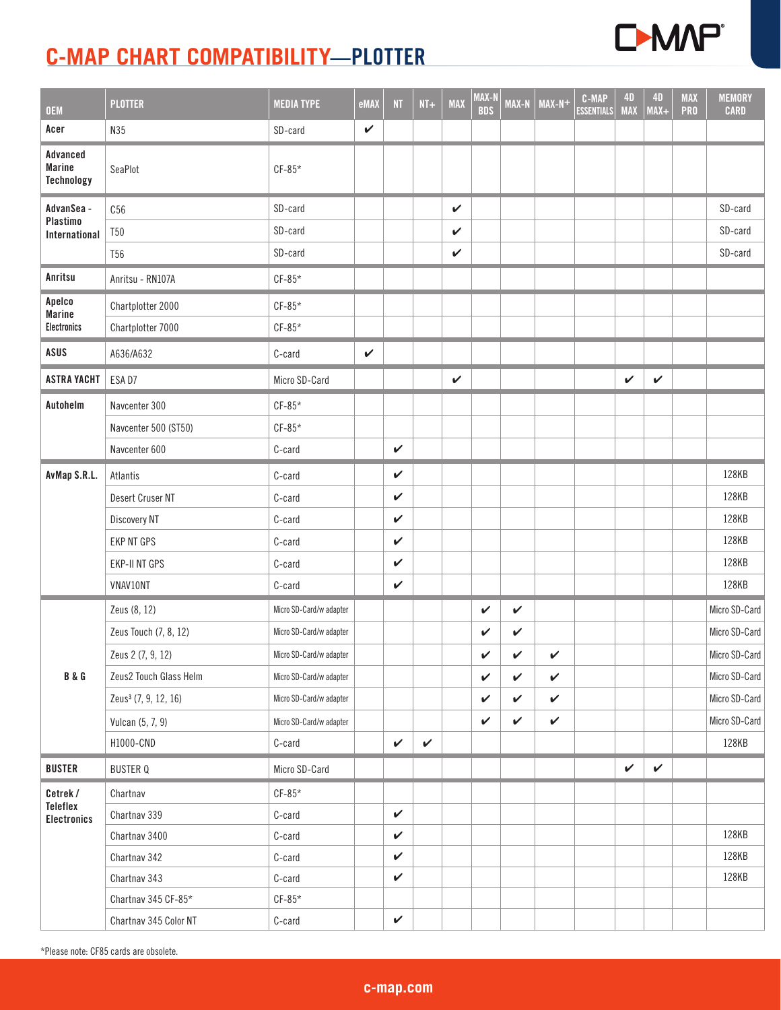

| <b>OEM</b>                                     | <b>PLOTTER</b>                   | <b>MEDIA TYPE</b>       | eMAX         | NT           | $NT+$        | <b>MAX</b>   | MAX-N<br><b>BDS</b> | MAX-N        | $MAX-N+$     | <b>C-MAP</b><br><b>ESSENTIALS</b> | <b>4D</b><br><b>MAX</b> | <b>4D</b><br>$MAX+$ | <b>MAX</b><br><b>PRO</b> | <b>MEMORY</b><br><b>CARD</b> |
|------------------------------------------------|----------------------------------|-------------------------|--------------|--------------|--------------|--------------|---------------------|--------------|--------------|-----------------------------------|-------------------------|---------------------|--------------------------|------------------------------|
| Acer                                           | N35                              | SD-card                 | $\checkmark$ |              |              |              |                     |              |              |                                   |                         |                     |                          |                              |
| Advanced<br><b>Marine</b><br><b>Technology</b> | SeaPlot                          | $CF-85*$                |              |              |              |              |                     |              |              |                                   |                         |                     |                          |                              |
| AdvanSea -                                     | C56                              | SD-card                 |              |              |              | $\checkmark$ |                     |              |              |                                   |                         |                     |                          | SD-card                      |
| Plastimo<br>International                      | <b>T50</b>                       | SD-card                 |              |              |              | $\checkmark$ |                     |              |              |                                   |                         |                     |                          | SD-card                      |
|                                                | <b>T56</b>                       | SD-card                 |              |              |              | V            |                     |              |              |                                   |                         |                     |                          | SD-card                      |
| Anritsu                                        | Anritsu - RN107A                 | $CF-85*$                |              |              |              |              |                     |              |              |                                   |                         |                     |                          |                              |
| Apelco<br><b>Marine</b>                        | Chartplotter 2000                | $CF-85*$                |              |              |              |              |                     |              |              |                                   |                         |                     |                          |                              |
| <b>Electronics</b>                             | Chartplotter 7000                | $CF-85*$                |              |              |              |              |                     |              |              |                                   |                         |                     |                          |                              |
| ASUS                                           | A636/A632                        | C-card                  | $\checkmark$ |              |              |              |                     |              |              |                                   |                         |                     |                          |                              |
| <b>ASTRA YACHT</b>                             | ESA D7                           | Micro SD-Card           |              |              |              | $\checkmark$ |                     |              |              |                                   | $\checkmark$            | $\checkmark$        |                          |                              |
| Autohelm                                       | Navcenter 300                    | $CF-85*$                |              |              |              |              |                     |              |              |                                   |                         |                     |                          |                              |
|                                                | Navcenter 500 (ST50)             | $CF-85*$                |              |              |              |              |                     |              |              |                                   |                         |                     |                          |                              |
|                                                | Navcenter 600                    | C-card                  |              | V            |              |              |                     |              |              |                                   |                         |                     |                          |                              |
| AvMap S.R.L.                                   | Atlantis                         | C-card                  |              | $\checkmark$ |              |              |                     |              |              |                                   |                         |                     |                          | 128KB                        |
|                                                | Desert Cruser NT                 | C-card                  |              | V            |              |              |                     |              |              |                                   |                         |                     |                          | 128KB                        |
|                                                | Discovery NT                     | C-card                  |              | $\checkmark$ |              |              |                     |              |              |                                   |                         |                     |                          | 128KB                        |
|                                                | <b>EKP NT GPS</b>                | C-card                  |              | V            |              |              |                     |              |              |                                   |                         |                     |                          | 128KB                        |
|                                                | <b>EKP-II NT GPS</b>             | C-card                  |              | $\checkmark$ |              |              |                     |              |              |                                   |                         |                     |                          | 128KB                        |
|                                                | VNAV10NT                         | C-card                  |              | $\checkmark$ |              |              |                     |              |              |                                   |                         |                     |                          | 128KB                        |
|                                                | Zeus (8, 12)                     | Micro SD-Card/w adapter |              |              |              |              | V                   | V            |              |                                   |                         |                     |                          | Micro SD-Card                |
|                                                | Zeus Touch (7, 8, 12)            | Micro SD-Card/w adapter |              |              |              |              | V                   | V            |              |                                   |                         |                     |                          | Micro SD-Card                |
|                                                | Zeus 2 (7, 9, 12)                | Micro SD-Card/w adapter |              |              |              |              | V                   | $\checkmark$ | $\checkmark$ |                                   |                         |                     |                          | Micro SD-Card                |
| <b>B&amp;G</b>                                 | Zeus2 Touch Glass Helm           | Micro SD-Card/w adapter |              |              |              |              | $\checkmark$        | V            | $\checkmark$ |                                   |                         |                     |                          | Micro SD-Card                |
|                                                | Zeus <sup>3</sup> (7, 9, 12, 16) | Micro SD-Card/w adapter |              |              |              |              | $\checkmark$        | V            | $\checkmark$ |                                   |                         |                     |                          | Micro SD-Card                |
|                                                | Vulcan (5, 7, 9)                 | Micro SD-Card/w adapter |              |              |              |              | $\checkmark$        | $\checkmark$ | V            |                                   |                         |                     |                          | Micro SD-Card                |
|                                                | H1000-CND                        | C-card                  |              | $\checkmark$ | $\checkmark$ |              |                     |              |              |                                   |                         |                     |                          | 128KB                        |
| <b>BUSTER</b>                                  | <b>BUSTER Q</b>                  | Micro SD-Card           |              |              |              |              |                     |              |              |                                   | $\checkmark$            | $\checkmark$        |                          |                              |
| Cetrek/                                        | Chartnav                         | $CF-85*$                |              |              |              |              |                     |              |              |                                   |                         |                     |                          |                              |
| Teleflex<br><b>Electronics</b>                 | Chartnav 339                     | C-card                  |              | $\checkmark$ |              |              |                     |              |              |                                   |                         |                     |                          |                              |
|                                                | Chartnav 3400                    | C-card                  |              | $\checkmark$ |              |              |                     |              |              |                                   |                         |                     |                          | 128KB                        |
|                                                | Chartnav 342                     | C-card                  |              | $\checkmark$ |              |              |                     |              |              |                                   |                         |                     |                          | 128KB                        |
|                                                | Chartnav 343                     | C-card                  |              | $\checkmark$ |              |              |                     |              |              |                                   |                         |                     |                          | 128KB                        |
|                                                | Chartnav 345 CF-85*              | $CF-85*$                |              |              |              |              |                     |              |              |                                   |                         |                     |                          |                              |
|                                                | Chartnav 345 Color NT            | C-card                  |              | $\checkmark$ |              |              |                     |              |              |                                   |                         |                     |                          |                              |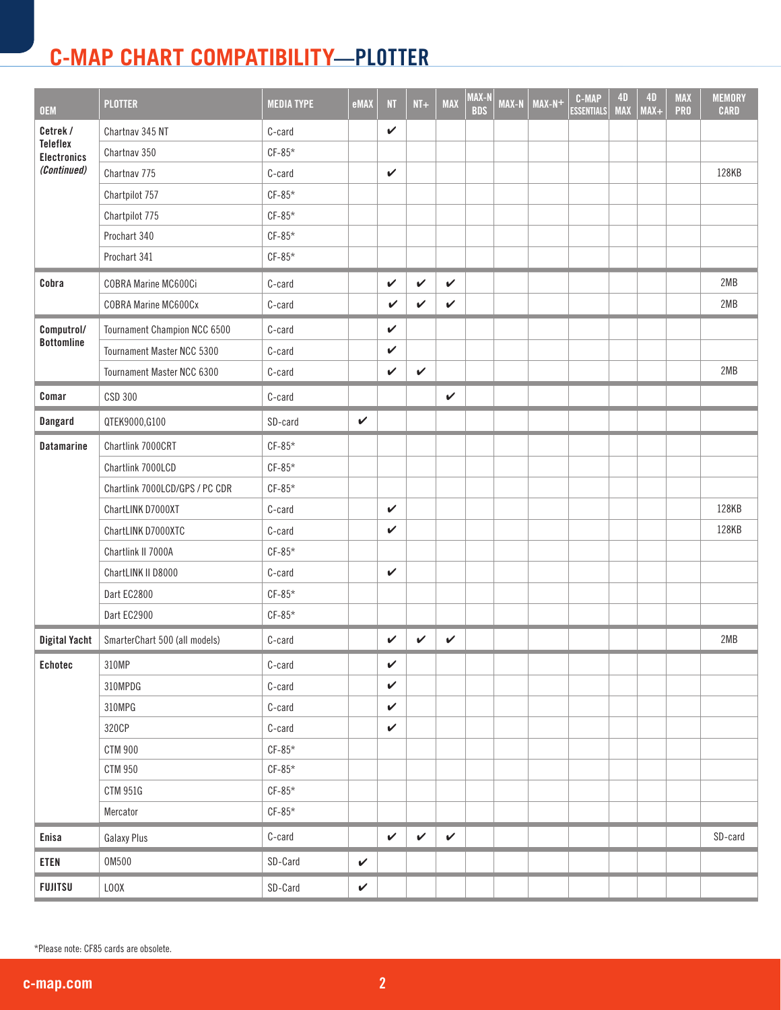| <b>OEM</b>                            | <b>PLOTTER</b>                    | <b>MEDIA TYPE</b> | eMAX         | NT           | $NT+$        | <b>MAX</b>   | MAX-N<br><b>BDS</b> | MAX-N | $\overline{MAX-N+}$ | <b>C-MAP</b><br><b>ESSENTIALS</b> | <b>4D</b><br><b>MAX</b> | 4D<br>$MAX+$ | <b>MAX</b><br><b>PRO</b> | <b>MEMORY</b><br><b>CARD</b> |
|---------------------------------------|-----------------------------------|-------------------|--------------|--------------|--------------|--------------|---------------------|-------|---------------------|-----------------------------------|-------------------------|--------------|--------------------------|------------------------------|
| Cetrek /                              | Chartnav 345 NT                   | C-card            |              | $\checkmark$ |              |              |                     |       |                     |                                   |                         |              |                          |                              |
| <b>Teleflex</b><br><b>Electronics</b> | Chartnav 350                      | $CF-85*$          |              |              |              |              |                     |       |                     |                                   |                         |              |                          |                              |
| (Continued)                           | Chartnav 775                      | C-card            |              | $\checkmark$ |              |              |                     |       |                     |                                   |                         |              |                          | 128KB                        |
|                                       | Chartpilot 757                    | $CF-85*$          |              |              |              |              |                     |       |                     |                                   |                         |              |                          |                              |
|                                       | Chartpilot 775                    | $CF-85*$          |              |              |              |              |                     |       |                     |                                   |                         |              |                          |                              |
|                                       | Prochart 340                      | $CF-85*$          |              |              |              |              |                     |       |                     |                                   |                         |              |                          |                              |
|                                       | Prochart 341                      | $CF-85*$          |              |              |              |              |                     |       |                     |                                   |                         |              |                          |                              |
| Cobra                                 | COBRA Marine MC600Ci              | C-card            |              | $\checkmark$ | $\checkmark$ | $\checkmark$ |                     |       |                     |                                   |                         |              |                          | 2MB                          |
|                                       | <b>COBRA Marine MC600Cx</b>       | C-card            |              | V            | V            | V            |                     |       |                     |                                   |                         |              |                          | 2MB                          |
| Computrol/                            | Tournament Champion NCC 6500      | C-card            |              | $\checkmark$ |              |              |                     |       |                     |                                   |                         |              |                          |                              |
| <b>Bottomline</b>                     | <b>Tournament Master NCC 5300</b> | C-card            |              | V            |              |              |                     |       |                     |                                   |                         |              |                          |                              |
|                                       | Tournament Master NCC 6300        | C-card            |              | $\checkmark$ | $\checkmark$ |              |                     |       |                     |                                   |                         |              |                          | 2MB                          |
| Comar                                 | CSD 300                           | C-card            |              |              |              | V            |                     |       |                     |                                   |                         |              |                          |                              |
| Dangard                               | QTEK9000,G100                     | SD-card           | $\checkmark$ |              |              |              |                     |       |                     |                                   |                         |              |                          |                              |
| <b>Datamarine</b>                     | Chartlink 7000CRT                 | $CF-85*$          |              |              |              |              |                     |       |                     |                                   |                         |              |                          |                              |
|                                       | Chartlink 7000LCD                 | $CF-85*$          |              |              |              |              |                     |       |                     |                                   |                         |              |                          |                              |
|                                       | Chartlink 7000LCD/GPS / PC CDR    | $CF-85*$          |              |              |              |              |                     |       |                     |                                   |                         |              |                          |                              |
|                                       | ChartLINK D7000XT                 | C-card            |              | $\checkmark$ |              |              |                     |       |                     |                                   |                         |              |                          | 128KB                        |
|                                       | ChartLINK D7000XTC                | C-card            |              | $\checkmark$ |              |              |                     |       |                     |                                   |                         |              |                          | 128KB                        |
|                                       | Chartlink II 7000A                | $CF-85*$          |              |              |              |              |                     |       |                     |                                   |                         |              |                          |                              |
|                                       | ChartLINK II D8000                | C-card            |              | $\checkmark$ |              |              |                     |       |                     |                                   |                         |              |                          |                              |
|                                       | Dart EC2800                       | $CF-85*$          |              |              |              |              |                     |       |                     |                                   |                         |              |                          |                              |
|                                       | Dart EC2900                       | $CF-85*$          |              |              |              |              |                     |       |                     |                                   |                         |              |                          |                              |
| <b>Digital Yacht</b>                  | SmarterChart 500 (all models)     | C-card            |              | $\checkmark$ | $\checkmark$ | $\checkmark$ |                     |       |                     |                                   |                         |              |                          | 2MB                          |
| Echotec                               | 310MP                             | C-card            |              | V            |              |              |                     |       |                     |                                   |                         |              |                          |                              |
|                                       | 310MPDG                           | C-card            |              | $\checkmark$ |              |              |                     |       |                     |                                   |                         |              |                          |                              |
|                                       | 310MPG                            | C-card            |              | $\checkmark$ |              |              |                     |       |                     |                                   |                         |              |                          |                              |
|                                       | 320CP                             | C-card            |              | $\checkmark$ |              |              |                     |       |                     |                                   |                         |              |                          |                              |
|                                       | <b>CTM 900</b>                    | $CF-85*$          |              |              |              |              |                     |       |                     |                                   |                         |              |                          |                              |
|                                       | <b>CTM 950</b>                    | $CF-85*$          |              |              |              |              |                     |       |                     |                                   |                         |              |                          |                              |
|                                       | <b>CTM 951G</b>                   | $CF-85*$          |              |              |              |              |                     |       |                     |                                   |                         |              |                          |                              |
|                                       | Mercator                          | $CF-85*$          |              |              |              |              |                     |       |                     |                                   |                         |              |                          |                              |
| Enisa                                 | Galaxy Plus                       | C-card            |              | $\checkmark$ | $\checkmark$ | $\checkmark$ |                     |       |                     |                                   |                         |              |                          | SD-card                      |
| <b>ETEN</b>                           | 0M500                             | SD-Card           | $\checkmark$ |              |              |              |                     |       |                     |                                   |                         |              |                          |                              |
| <b>FUJITSU</b>                        | LOOX                              | SD-Card           | $\checkmark$ |              |              |              |                     |       |                     |                                   |                         |              |                          |                              |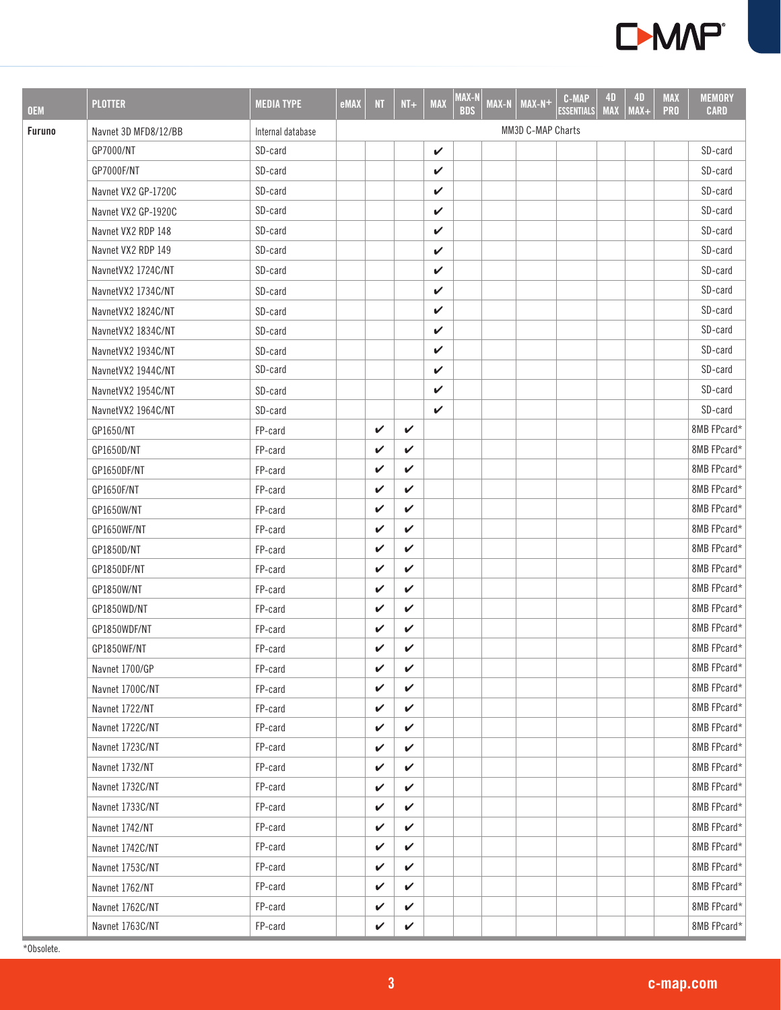

| <b>OEM</b>    | <b>PLOTTER</b>       | <b>MEDIA TYPE</b> | eMAX | NT.          | $NT +$       | <b>MAX</b> | MAX-N<br><b>BDS</b> | <b>MAX-N</b> | $\overline{MAX-N+}$ | <b>C-MAP</b><br><b>ESSENTIALS</b> | 4D<br><b>MAX</b> | <b>4D</b><br>$MAX+$ | <b>MAX</b><br><b>PRO</b> | <b>MEMORY</b><br><b>CARD</b> |
|---------------|----------------------|-------------------|------|--------------|--------------|------------|---------------------|--------------|---------------------|-----------------------------------|------------------|---------------------|--------------------------|------------------------------|
| <b>Furuno</b> | Navnet 3D MFD8/12/BB | Internal database |      |              |              |            |                     |              | MM3D C-MAP Charts   |                                   |                  |                     |                          |                              |
|               | GP7000/NT            | SD-card           |      |              |              | V          |                     |              |                     |                                   |                  |                     |                          | SD-card                      |
|               | GP7000F/NT           | SD-card           |      |              |              | V          |                     |              |                     |                                   |                  |                     |                          | SD-card                      |
|               | Navnet VX2 GP-1720C  | SD-card           |      |              |              | V          |                     |              |                     |                                   |                  |                     |                          | SD-card                      |
|               | Navnet VX2 GP-1920C  | SD-card           |      |              |              | V          |                     |              |                     |                                   |                  |                     |                          | SD-card                      |
|               | Navnet VX2 RDP 148   | SD-card           |      |              |              | V          |                     |              |                     |                                   |                  |                     |                          | SD-card                      |
|               | Navnet VX2 RDP 149   | SD-card           |      |              |              | V          |                     |              |                     |                                   |                  |                     |                          | SD-card                      |
|               | NavnetVX2 1724C/NT   | SD-card           |      |              |              | V          |                     |              |                     |                                   |                  |                     |                          | SD-card                      |
|               | NavnetVX2 1734C/NT   | SD-card           |      |              |              | V          |                     |              |                     |                                   |                  |                     |                          | SD-card                      |
|               | NavnetVX2 1824C/NT   | SD-card           |      |              |              | V          |                     |              |                     |                                   |                  |                     |                          | SD-card                      |
|               | NavnetVX2 1834C/NT   | SD-card           |      |              |              | V          |                     |              |                     |                                   |                  |                     |                          | SD-card                      |
|               | NavnetVX2 1934C/NT   | SD-card           |      |              |              | V          |                     |              |                     |                                   |                  |                     |                          | SD-card                      |
|               | NavnetVX2 1944C/NT   | SD-card           |      |              |              | V          |                     |              |                     |                                   |                  |                     |                          | SD-card                      |
|               | NavnetVX2 1954C/NT   | SD-card           |      |              |              | V          |                     |              |                     |                                   |                  |                     |                          | SD-card                      |
|               | NavnetVX2 1964C/NT   | SD-card           |      |              |              | V          |                     |              |                     |                                   |                  |                     |                          | SD-card                      |
|               | GP1650/NT            | FP-card           |      | V            | $\checkmark$ |            |                     |              |                     |                                   |                  |                     |                          | 8MB FPcard*                  |
|               | GP1650D/NT           | FP-card           |      | V            | V            |            |                     |              |                     |                                   |                  |                     |                          | 8MB FPcard*                  |
|               | GP1650DF/NT          | FP-card           |      | V            | V            |            |                     |              |                     |                                   |                  |                     |                          | 8MB FPcard*                  |
|               | GP1650F/NT           | FP-card           |      | V            | V            |            |                     |              |                     |                                   |                  |                     |                          | 8MB FPcard*                  |
|               | GP1650W/NT           | FP-card           |      | $\checkmark$ | V            |            |                     |              |                     |                                   |                  |                     |                          | 8MB FPcard*                  |
|               | GP1650WF/NT          | FP-card           |      | V            | V            |            |                     |              |                     |                                   |                  |                     |                          | 8MB FPcard*                  |
|               | GP1850D/NT           | FP-card           |      | V            | V            |            |                     |              |                     |                                   |                  |                     |                          | 8MB FPcard*                  |
|               | GP1850DF/NT          | FP-card           |      | V            | V            |            |                     |              |                     |                                   |                  |                     |                          | 8MB FPcard*                  |
|               | GP1850W/NT           | FP-card           |      | V            | V            |            |                     |              |                     |                                   |                  |                     |                          | 8MB FPcard*                  |
|               | GP1850WD/NT          | FP-card           |      | V            | $\checkmark$ |            |                     |              |                     |                                   |                  |                     |                          | 8MB FPcard*                  |
|               | GP1850WDF/NT         | FP-card           |      | V            | V            |            |                     |              |                     |                                   |                  |                     |                          | 8MB FPcard*                  |
|               | GP1850WF/NT          | FP-card           |      | V            | V            |            |                     |              |                     |                                   |                  |                     |                          | 8MB FPcard*                  |
|               | Navnet 1700/GP       | FP-card           |      | V            | V            |            |                     |              |                     |                                   |                  |                     |                          | 8MB FPcard*                  |
|               | Navnet 1700C/NT      | FP-card           |      | V            | V            |            |                     |              |                     |                                   |                  |                     |                          | 8MB FPcard*                  |
|               | Navnet 1722/NT       | FP-card           |      | V            | $\checkmark$ |            |                     |              |                     |                                   |                  |                     |                          | 8MB FPcard*                  |
|               | Navnet 1722C/NT      | FP-card           |      | V            | V            |            |                     |              |                     |                                   |                  |                     |                          | 8MB FPcard*                  |
|               | Navnet 1723C/NT      | FP-card           |      | V            | V            |            |                     |              |                     |                                   |                  |                     |                          | 8MB FPcard*                  |
|               | Navnet 1732/NT       | FP-card           |      | V            | V            |            |                     |              |                     |                                   |                  |                     |                          | 8MB FPcard*                  |
|               | Navnet 1732C/NT      | FP-card           |      | V            | V            |            |                     |              |                     |                                   |                  |                     |                          | 8MB FPcard*                  |
|               | Navnet 1733C/NT      | FP-card           |      | V            | V            |            |                     |              |                     |                                   |                  |                     |                          | 8MB FPcard*                  |
|               | Navnet 1742/NT       | FP-card           |      | V            | V            |            |                     |              |                     |                                   |                  |                     |                          | 8MB FPcard*                  |
|               | Navnet 1742C/NT      | FP-card           |      | V            | V            |            |                     |              |                     |                                   |                  |                     |                          | 8MB FPcard*                  |
|               | Navnet 1753C/NT      | FP-card           |      | V            | V            |            |                     |              |                     |                                   |                  |                     |                          | 8MB FPcard*                  |
|               | Navnet 1762/NT       | FP-card           |      | V            | V            |            |                     |              |                     |                                   |                  |                     |                          | 8MB FPcard*                  |
|               | Navnet 1762C/NT      | FP-card           |      | V            | V            |            |                     |              |                     |                                   |                  |                     |                          | 8MB FPcard*                  |
|               | Navnet 1763C/NT      | FP-card           |      | V            | V            |            |                     |              |                     |                                   |                  |                     |                          | 8MB FPcard*                  |

\*Obsolete.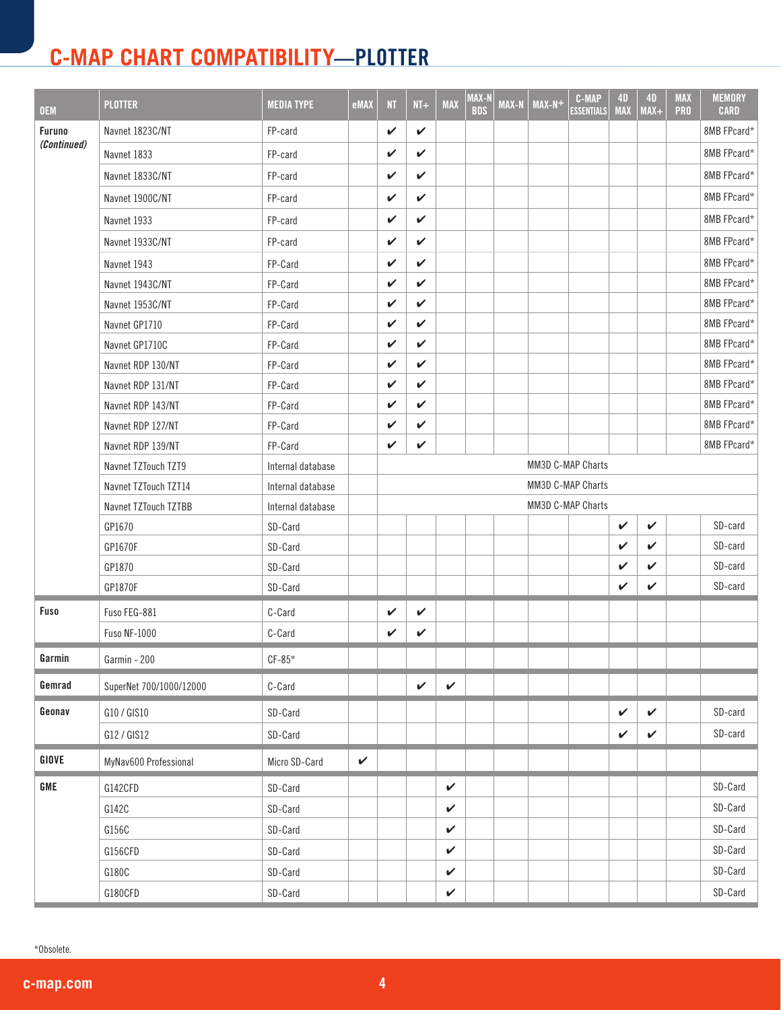| <b>OEM</b>  | <b>PLOTTER</b>          | <b>MEDIA TYPE</b>      | eMAX         | <b>NT</b> | $NT+$        | <b>MAX</b>   | MAX-N<br><b>BDS</b> | <b>MAX-N</b> | $MAX-N+$ | <b>C-MAP</b><br><b>ESSENTIALS</b> | <b>4D</b><br><b>MAX</b> | <b>4D</b><br>$MAX +$ | <b>MAX</b><br><b>PRO</b> | <b>MEMORY</b><br><b>CARD</b> |
|-------------|-------------------------|------------------------|--------------|-----------|--------------|--------------|---------------------|--------------|----------|-----------------------------------|-------------------------|----------------------|--------------------------|------------------------------|
| Furuno      | Navnet 1823C/NT         | FP-card                |              | V         | $\checkmark$ |              |                     |              |          |                                   |                         |                      |                          | 8MB FPcard*                  |
| (Continued) | Navnet 1833             | FP-card                |              | V         | V            |              |                     |              |          |                                   |                         |                      |                          | 8MB FPcard*                  |
|             | Navnet 1833C/NT         | FP-card                |              | V         | V            |              |                     |              |          |                                   |                         |                      |                          | 8MB FPcard*                  |
|             | Navnet 1900C/NT         | FP-card                |              | V         | V            |              |                     |              |          |                                   |                         |                      |                          | 8MB FPcard*                  |
|             | Navnet 1933             | FP-card                |              | V         | V            |              |                     |              |          |                                   |                         |                      |                          | 8MB FPcard*                  |
|             | Navnet 1933C/NT         | FP-card                |              | V         | V            |              |                     |              |          |                                   |                         |                      |                          | 8MB FPcard*                  |
|             | Navnet 1943             | FP-Card                |              | V         | V            |              |                     |              |          |                                   |                         |                      |                          | 8MB FPcard*                  |
|             | Navnet 1943C/NT         | FP-Card                |              | V         | V            |              |                     |              |          |                                   |                         |                      |                          | 8MB FPcard*                  |
|             | Navnet 1953C/NT         | FP-Card                |              | V         | V            |              |                     |              |          |                                   |                         |                      |                          | 8MB FPcard*                  |
|             | Navnet GP1710           | FP-Card                |              | V         | V            |              |                     |              |          |                                   |                         |                      |                          | 8MB FPcard*                  |
|             | Navnet GP1710C          | FP-Card                |              | V         | V            |              |                     |              |          |                                   |                         |                      |                          | 8MB FPcard*                  |
|             | Navnet RDP 130/NT       | FP-Card                |              | V         | V            |              |                     |              |          |                                   |                         |                      |                          | 8MB FPcard*                  |
|             | Navnet RDP 131/NT       | FP-Card                |              | V         | V            |              |                     |              |          |                                   |                         |                      |                          | 8MB FPcard*                  |
|             | Navnet RDP 143/NT       | FP-Card                |              | V         | V            |              |                     |              |          |                                   |                         |                      |                          | 8MB FPcard*                  |
|             | Navnet RDP 127/NT       | FP-Card                |              | V         | V            |              |                     |              |          |                                   |                         |                      |                          | 8MB FPcard*                  |
|             | Navnet RDP 139/NT       | FP-Card                |              | V         | V            |              |                     |              |          |                                   |                         |                      |                          | 8MB FPcard*                  |
|             | Navnet TZTouch TZT9     | Internal database      |              |           |              |              |                     |              |          | MM3D C-MAP Charts                 |                         |                      |                          |                              |
|             | Navnet TZTouch TZT14    | Internal database      |              |           |              |              |                     |              |          | MM3D C-MAP Charts                 |                         |                      |                          |                              |
|             | Navnet TZTouch TZTBB    | Internal database      |              |           |              |              |                     |              |          | MM3D C-MAP Charts                 |                         |                      |                          |                              |
|             | GP1670                  | SD-Card                |              |           |              |              |                     |              |          |                                   | V                       | V                    |                          | SD-card                      |
|             | GP1670F                 | SD-Card                |              |           |              |              |                     |              |          |                                   | V                       | V                    |                          | SD-card                      |
|             | GP1870                  | SD-Card                |              |           |              |              |                     |              |          |                                   | V                       | V                    |                          | SD-card                      |
|             | GP1870F                 | SD-Card                |              |           |              |              |                     |              |          |                                   | V                       | $\checkmark$         |                          | SD-card                      |
| <b>Fuso</b> | Fuso FEG-881            | C-Card                 |              | ✓         | V            |              |                     |              |          |                                   |                         |                      |                          |                              |
|             | <b>Fuso NF-1000</b>     | C-Card                 |              | V         | V            |              |                     |              |          |                                   |                         |                      |                          |                              |
| Garmin      | Garmin - 200            | $\text{CF-}85^{\star}$ |              |           |              |              |                     |              |          |                                   |                         |                      |                          |                              |
| Gemrad      | SuperNet 700/1000/12000 | C-Card                 |              |           | $\checkmark$ | $\checkmark$ |                     |              |          |                                   |                         |                      |                          |                              |
| Geonav      | G10 / GIS10             | SD-Card                |              |           |              |              |                     |              |          |                                   | $\checkmark$            | $\checkmark$         |                          | SD-card                      |
|             | G12 / GIS12             | SD-Card                |              |           |              |              |                     |              |          |                                   | $\checkmark$            | $\checkmark$         |                          | SD-card                      |
| GIOVE       | MyNav600 Professional   | Micro SD-Card          | $\checkmark$ |           |              |              |                     |              |          |                                   |                         |                      |                          |                              |
| GME         | G142CFD                 | SD-Card                |              |           |              | $\checkmark$ |                     |              |          |                                   |                         |                      |                          | SD-Card                      |
|             | G142C                   | SD-Card                |              |           |              | $\checkmark$ |                     |              |          |                                   |                         |                      |                          | SD-Card                      |
|             | G156C                   | SD-Card                |              |           |              | $\checkmark$ |                     |              |          |                                   |                         |                      |                          | SD-Card                      |
|             | G156CFD                 | SD-Card                |              |           |              | $\checkmark$ |                     |              |          |                                   |                         |                      |                          | SD-Card                      |
|             | G180C                   | SD-Card                |              |           |              | $\checkmark$ |                     |              |          |                                   |                         |                      |                          | SD-Card                      |
|             | G180CFD                 | SD-Card                |              |           |              | $\checkmark$ |                     |              |          |                                   |                         |                      |                          | SD-Card                      |

\*Obsolete.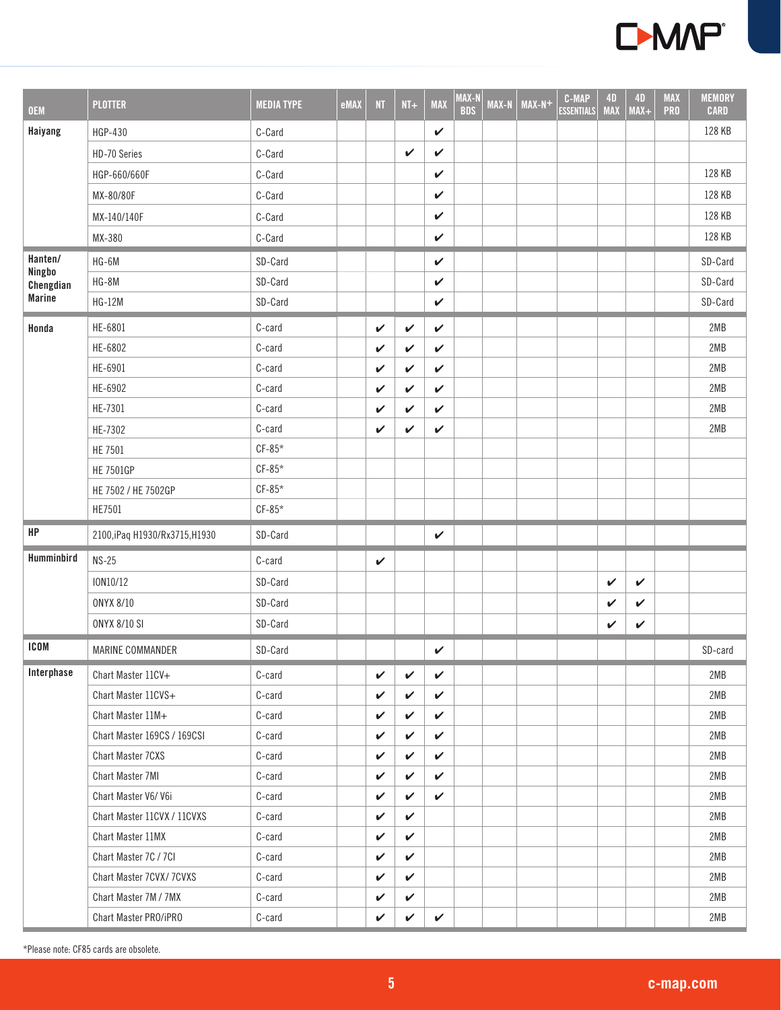

| <b>OEM</b>          | <b>PLOTTER</b>                 | <b>MEDIA TYPE</b> | eMAX | NT           | $NT+$        | <b>MAX</b>   | MAX-N<br><b>BDS</b> | <b>MAX-N</b> | $MAX-N+$ | <b>C-MAP</b><br><b>ESSENTIALS</b> | <b>4D</b><br><b>MAX</b> | <b>4D</b><br>$MAX +$ | <b>MAX</b><br><b>PRO</b> | <b>MEMORY</b><br><b>CARD</b> |
|---------------------|--------------------------------|-------------------|------|--------------|--------------|--------------|---------------------|--------------|----------|-----------------------------------|-------------------------|----------------------|--------------------------|------------------------------|
| Haiyang             | HGP-430                        | C-Card            |      |              |              | V            |                     |              |          |                                   |                         |                      |                          | 128 KB                       |
|                     | HD-70 Series                   | C-Card            |      |              | $\checkmark$ | V            |                     |              |          |                                   |                         |                      |                          |                              |
|                     | HGP-660/660F                   | C-Card            |      |              |              | V            |                     |              |          |                                   |                         |                      |                          | 128 KB                       |
|                     | MX-80/80F                      | C-Card            |      |              |              | $\checkmark$ |                     |              |          |                                   |                         |                      |                          | 128 KB                       |
|                     | MX-140/140F                    | C-Card            |      |              |              | $\checkmark$ |                     |              |          |                                   |                         |                      |                          | 128 KB                       |
|                     | MX-380                         | C-Card            |      |              |              | V            |                     |              |          |                                   |                         |                      |                          | 128 KB                       |
| Hanten/             | HG-6M                          | SD-Card           |      |              |              | $\checkmark$ |                     |              |          |                                   |                         |                      |                          | SD-Card                      |
| Ningbo<br>Chengdian | HG-8M                          | SD-Card           |      |              |              | $\checkmark$ |                     |              |          |                                   |                         |                      |                          | SD-Card                      |
| <b>Marine</b>       | <b>HG-12M</b>                  | SD-Card           |      |              |              | $\checkmark$ |                     |              |          |                                   |                         |                      |                          | SD-Card                      |
| Honda               | HE-6801                        | C-card            |      | V            | $\checkmark$ | V            |                     |              |          |                                   |                         |                      |                          | 2MB                          |
|                     | HE-6802                        | C-card            |      | V            | V            | $\checkmark$ |                     |              |          |                                   |                         |                      |                          | 2MB                          |
|                     | HE-6901                        | C-card            |      | $\checkmark$ | V            | $\checkmark$ |                     |              |          |                                   |                         |                      |                          | 2MB                          |
|                     | HE-6902                        | C-card            |      | V            | V            | $\checkmark$ |                     |              |          |                                   |                         |                      |                          | 2MB                          |
|                     | HE-7301                        | C-card            |      | V            | V            | V            |                     |              |          |                                   |                         |                      |                          | 2MB                          |
|                     | HE-7302                        | C-card            |      | $\checkmark$ | V            | V            |                     |              |          |                                   |                         |                      |                          | 2MB                          |
|                     | <b>HE 7501</b>                 | $CF-85*$          |      |              |              |              |                     |              |          |                                   |                         |                      |                          |                              |
|                     | <b>HE 7501GP</b>               | $CF-85*$          |      |              |              |              |                     |              |          |                                   |                         |                      |                          |                              |
|                     | HE 7502 / HE 7502GP            | $CF-85*$          |      |              |              |              |                     |              |          |                                   |                         |                      |                          |                              |
|                     | HE7501                         | $CF-85*$          |      |              |              |              |                     |              |          |                                   |                         |                      |                          |                              |
| HP                  | 2100, iPaq H1930/Rx3715, H1930 | SD-Card           |      |              |              | $\checkmark$ |                     |              |          |                                   |                         |                      |                          |                              |
| Humminbird          | $NS-25$                        | C-card            |      | $\checkmark$ |              |              |                     |              |          |                                   |                         |                      |                          |                              |
|                     | ION10/12                       | SD-Card           |      |              |              |              |                     |              |          |                                   | $\checkmark$            | $\checkmark$         |                          |                              |
|                     | ONYX 8/10                      | SD-Card           |      |              |              |              |                     |              |          |                                   | V                       | $\checkmark$         |                          |                              |
|                     | <b>ONYX 8/10 SI</b>            | SD-Card           |      |              |              |              |                     |              |          |                                   | $\checkmark$            | $\checkmark$         |                          |                              |
| <b>ICOM</b>         | MARINE COMMANDER               | SD-Card           |      |              |              | V            |                     |              |          |                                   |                         |                      |                          | SD-card                      |
| Interphase          | Chart Master 11CV+             | C-card            |      | $\checkmark$ | $\checkmark$ | $\checkmark$ |                     |              |          |                                   |                         |                      |                          | 2MB                          |
|                     | Chart Master 11CVS+            | C-card            |      | $\checkmark$ | $\checkmark$ | V            |                     |              |          |                                   |                         |                      |                          | 2MB                          |
|                     | Chart Master 11M+              | C-card            |      | V            | $\checkmark$ | $\checkmark$ |                     |              |          |                                   |                         |                      |                          | 2MB                          |
|                     | Chart Master 169CS / 169CSI    | C-card            |      | V            | $\checkmark$ | V            |                     |              |          |                                   |                         |                      |                          | 2MB                          |
|                     | <b>Chart Master 7CXS</b>       | C-card            |      | V            | $\checkmark$ | $\checkmark$ |                     |              |          |                                   |                         |                      |                          | 2MB                          |
|                     | Chart Master 7MI               | C-card            |      | ✓            | $\checkmark$ | $\checkmark$ |                     |              |          |                                   |                         |                      |                          | 2MB                          |
|                     | Chart Master V6/V6i            | C-card            |      | V            | $\checkmark$ | ✓            |                     |              |          |                                   |                         |                      |                          | 2MB                          |
|                     | Chart Master 11CVX / 11CVXS    | C-card            |      | V            | $\checkmark$ |              |                     |              |          |                                   |                         |                      |                          | 2MB                          |
|                     | Chart Master 11MX              | C-card            |      | $\checkmark$ | $\checkmark$ |              |                     |              |          |                                   |                         |                      |                          | 2MB                          |
|                     | Chart Master 7C / 7CI          | C-card            |      | V            | ✓            |              |                     |              |          |                                   |                         |                      |                          | 2MB                          |
|                     | Chart Master 7CVX/ 7CVXS       | C-card            |      | $\checkmark$ | $\checkmark$ |              |                     |              |          |                                   |                         |                      |                          | 2MB                          |
|                     | Chart Master 7M / 7MX          | C-card            |      | V            | $\checkmark$ |              |                     |              |          |                                   |                         |                      |                          | 2MB                          |
|                     | Chart Master PRO/iPRO          | C-card            |      | ✓            | $\checkmark$ | $\checkmark$ |                     |              |          |                                   |                         |                      |                          | 2MB                          |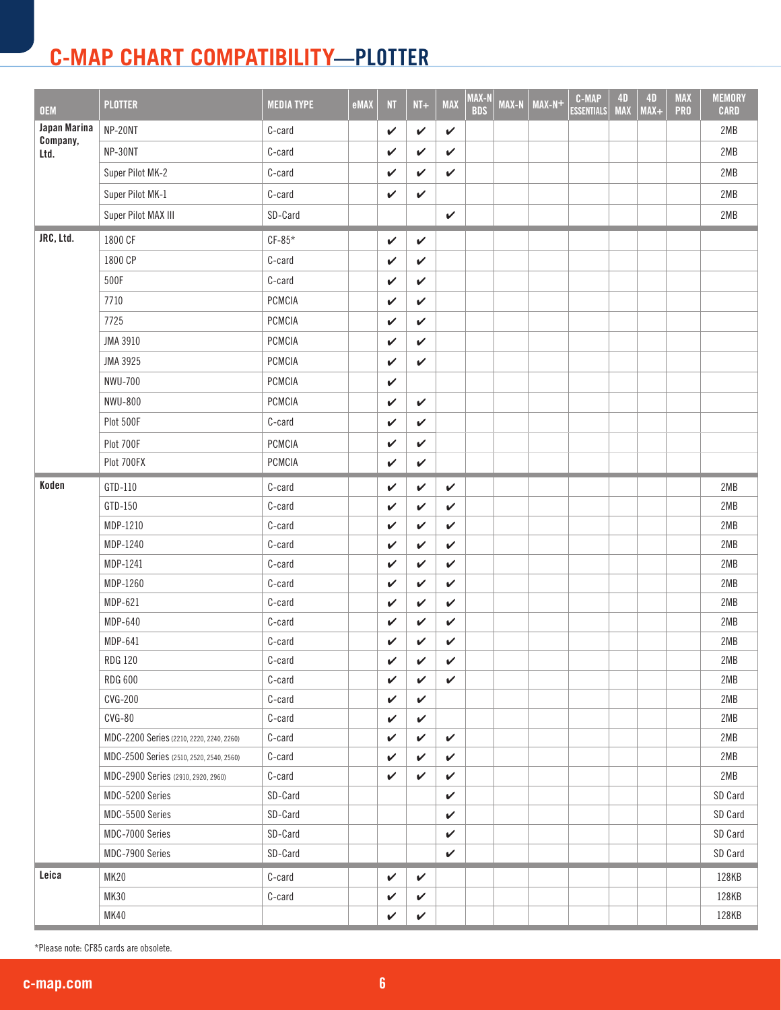| <b>OEM</b>       | <b>PLOTTER</b>                           | <b>MEDIA TYPE</b> | eMAX | NT           | $NT+$        | <b>MAX</b>   | MAX-N<br><b>BDS</b> | <b>MAX-N</b> | $MAX-N+$ | <b>C-MAP</b><br><b>ESSENTIALS</b> | <b>4D</b><br><b>MAX</b> | <b>4D</b><br>$MAX+$ | <b>MAX</b><br><b>PRO</b> | <b>MEMORY</b><br><b>CARD</b> |
|------------------|------------------------------------------|-------------------|------|--------------|--------------|--------------|---------------------|--------------|----------|-----------------------------------|-------------------------|---------------------|--------------------------|------------------------------|
| Japan Marina     | NP-20NT                                  | C-card            |      | V            | V            | $\checkmark$ |                     |              |          |                                   |                         |                     |                          | 2MB                          |
| Company,<br>Ltd. | NP-30NT                                  | C-card            |      | V            | $\checkmark$ | $\checkmark$ |                     |              |          |                                   |                         |                     |                          | 2MB                          |
|                  | Super Pilot MK-2                         | C-card            |      | V            | V            | $\checkmark$ |                     |              |          |                                   |                         |                     |                          | 2MB                          |
|                  | Super Pilot MK-1                         | C-card            |      | V            | $\mathbf{v}$ |              |                     |              |          |                                   |                         |                     |                          | 2MB                          |
|                  | Super Pilot MAX III                      | SD-Card           |      |              |              | $\checkmark$ |                     |              |          |                                   |                         |                     |                          | 2MB                          |
| JRC, Ltd.        | 1800 CF                                  | $CF-85*$          |      | V            | $\checkmark$ |              |                     |              |          |                                   |                         |                     |                          |                              |
|                  | 1800 CP                                  | C-card            |      | $\checkmark$ | V            |              |                     |              |          |                                   |                         |                     |                          |                              |
|                  | 500F                                     | C-card            |      | V            | $\checkmark$ |              |                     |              |          |                                   |                         |                     |                          |                              |
|                  | 7710                                     | PCMCIA            |      | V            | $\checkmark$ |              |                     |              |          |                                   |                         |                     |                          |                              |
|                  | 7725                                     | PCMCIA            |      | V            | ✓            |              |                     |              |          |                                   |                         |                     |                          |                              |
|                  | JMA 3910                                 | PCMCIA            |      | $\checkmark$ | $\checkmark$ |              |                     |              |          |                                   |                         |                     |                          |                              |
|                  | JMA 3925                                 | <b>PCMCIA</b>     |      | V            | $\checkmark$ |              |                     |              |          |                                   |                         |                     |                          |                              |
|                  | <b>NWU-700</b>                           | PCMCIA            |      | V            |              |              |                     |              |          |                                   |                         |                     |                          |                              |
|                  | <b>NWU-800</b>                           | <b>PCMCIA</b>     |      | V            | $\checkmark$ |              |                     |              |          |                                   |                         |                     |                          |                              |
|                  | Plot 500F                                | $C$ -card         |      | V            | V            |              |                     |              |          |                                   |                         |                     |                          |                              |
|                  | Plot 700F                                | PCMCIA            |      | V            | V            |              |                     |              |          |                                   |                         |                     |                          |                              |
|                  | Plot 700FX                               | PCMCIA            |      | V            | $\checkmark$ |              |                     |              |          |                                   |                         |                     |                          |                              |
| Koden            | GTD-110                                  | C-card            |      | V            | $\checkmark$ | $\checkmark$ |                     |              |          |                                   |                         |                     |                          | 2MB                          |
|                  | GTD-150                                  | C-card            |      | $\checkmark$ | $\checkmark$ | $\checkmark$ |                     |              |          |                                   |                         |                     |                          | 2MB                          |
|                  | MDP-1210                                 | C-card            |      | V            | $\checkmark$ | $\checkmark$ |                     |              |          |                                   |                         |                     |                          | 2MB                          |
|                  | MDP-1240                                 | C-card            |      | V            | $\checkmark$ | V            |                     |              |          |                                   |                         |                     |                          | 2MB                          |
|                  | MDP-1241                                 | C-card            |      | $\checkmark$ | $\checkmark$ | $\checkmark$ |                     |              |          |                                   |                         |                     |                          | 2MB                          |
|                  | MDP-1260                                 | C-card            |      | V            | $\checkmark$ | $\checkmark$ |                     |              |          |                                   |                         |                     |                          | 2MB                          |
|                  | MDP-621                                  | C-card            |      | V            | $\checkmark$ | ✓            |                     |              |          |                                   |                         |                     |                          | 2MB                          |
|                  | MDP-640                                  | C-card            |      | V            | V            | V            |                     |              |          |                                   |                         |                     |                          | 2MB                          |
|                  | MDP-641                                  | C-card            |      | $\checkmark$ | $\checkmark$ | $\checkmark$ |                     |              |          |                                   |                         |                     |                          | 2MB                          |
|                  | <b>RDG 120</b>                           | $C$ -card         |      | $\checkmark$ | $\checkmark$ | $\checkmark$ |                     |              |          |                                   |                         |                     |                          | 2MB                          |
|                  | <b>RDG 600</b>                           | C-card            |      | V            | $\checkmark$ | V            |                     |              |          |                                   |                         |                     |                          | 2MB                          |
|                  | <b>CVG-200</b>                           | C-card            |      | $\checkmark$ | $\checkmark$ |              |                     |              |          |                                   |                         |                     |                          | 2MB                          |
|                  | $CVG-80$                                 | C-card            |      | V            | $\checkmark$ |              |                     |              |          |                                   |                         |                     |                          | 2MB                          |
|                  | MDC-2200 Series (2210, 2220, 2240, 2260) | C-card            |      | V            | $\checkmark$ | $\checkmark$ |                     |              |          |                                   |                         |                     |                          | 2MB                          |
|                  | MDC-2500 Series (2510, 2520, 2540, 2560) | C-card            |      | V            | ✓            | V            |                     |              |          |                                   |                         |                     |                          | 2MB                          |
|                  | MDC-2900 Series (2910, 2920, 2960)       | C-card            |      | V            | $\checkmark$ | $\checkmark$ |                     |              |          |                                   |                         |                     |                          | 2MB                          |
|                  | MDC-5200 Series                          | SD-Card           |      |              |              | $\checkmark$ |                     |              |          |                                   |                         |                     |                          | SD Card                      |
|                  | MDC-5500 Series                          | SD-Card           |      |              |              | $\checkmark$ |                     |              |          |                                   |                         |                     |                          | SD Card                      |
|                  | MDC-7000 Series                          | SD-Card           |      |              |              | $\checkmark$ |                     |              |          |                                   |                         |                     |                          | SD Card                      |
|                  | MDC-7900 Series                          | SD-Card           |      |              |              | ✓            |                     |              |          |                                   |                         |                     |                          | SD Card                      |
| Leica            | <b>MK20</b>                              | C-card            |      | V            | $\checkmark$ |              |                     |              |          |                                   |                         |                     |                          | 128KB                        |
|                  | <b>MK30</b>                              | C-card            |      | $\checkmark$ | $\checkmark$ |              |                     |              |          |                                   |                         |                     |                          | 128KB                        |
|                  | <b>MK40</b>                              |                   |      | $\checkmark$ | $\checkmark$ |              |                     |              |          |                                   |                         |                     |                          | 128KB                        |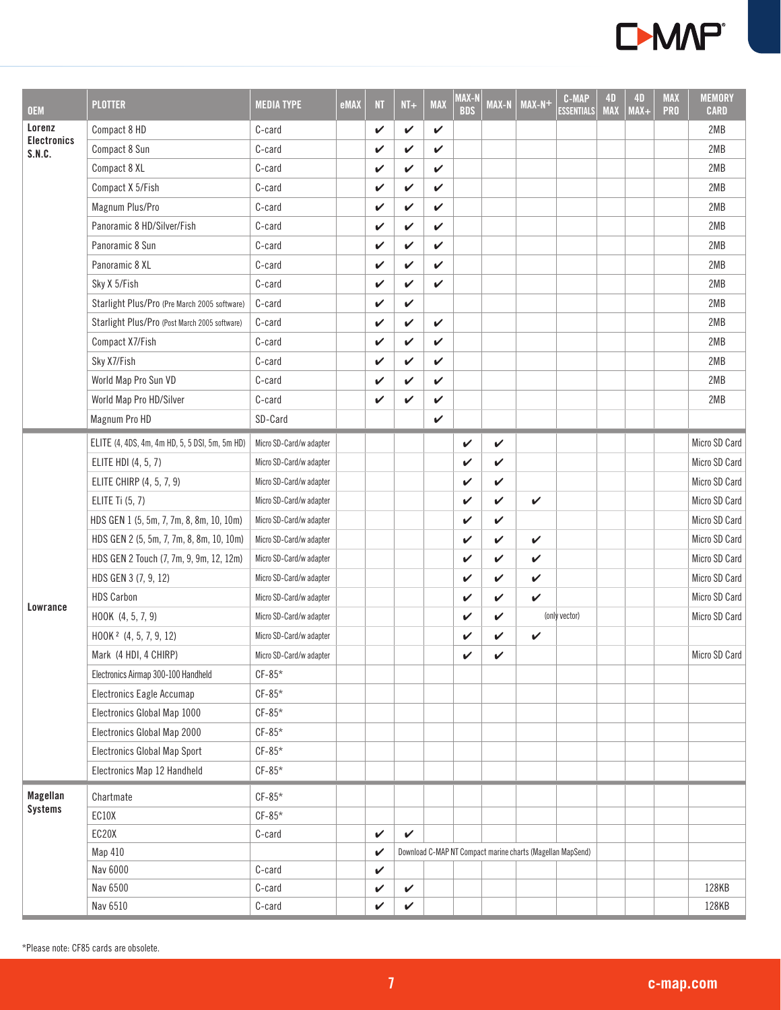

| <b>OEM</b>                   | <b>PLOTTER</b>                                 | <b>MEDIA TYPE</b>       | eMAX | N <sub>T</sub> | $NI+$        | <b>MAX</b> | MAX-N<br><b>BDS</b> | <b>MAX-N</b> | $MAX-N+$                                                   | <b>C-MAP</b><br><b>ESSENTIALS</b> | <b>4D</b><br><b>MAX</b> | <b>4D</b><br>$MAX+$ | <b>MAX</b><br><b>PRO</b> | <b>MEMORY</b><br><b>CARD</b> |
|------------------------------|------------------------------------------------|-------------------------|------|----------------|--------------|------------|---------------------|--------------|------------------------------------------------------------|-----------------------------------|-------------------------|---------------------|--------------------------|------------------------------|
| Lorenz                       | Compact 8 HD                                   | C-card                  |      | V              | ✓            | V          |                     |              |                                                            |                                   |                         |                     |                          | 2MB                          |
| <b>Electronics</b><br>S.N.C. | Compact 8 Sun                                  | C-card                  |      | V              | V            | V          |                     |              |                                                            |                                   |                         |                     |                          | 2MB                          |
|                              | Compact 8 XL                                   | C-card                  |      | V              | ✓            | V          |                     |              |                                                            |                                   |                         |                     |                          | 2MB                          |
|                              | Compact X 5/Fish                               | C-card                  |      | V              | V            | V          |                     |              |                                                            |                                   |                         |                     |                          | 2MB                          |
|                              | Magnum Plus/Pro                                | C-card                  |      | $\checkmark$   | ✓            | V          |                     |              |                                                            |                                   |                         |                     |                          | 2MB                          |
|                              | Panoramic 8 HD/Silver/Fish                     | C-card                  |      | V              | V            | V          |                     |              |                                                            |                                   |                         |                     |                          | 2MB                          |
|                              | Panoramic 8 Sun                                | C-card                  |      | V              | V            | V          |                     |              |                                                            |                                   |                         |                     |                          | 2MB                          |
|                              | Panoramic 8 XL                                 | C-card                  |      | V              | V            | V          |                     |              |                                                            |                                   |                         |                     |                          | 2MB                          |
|                              | Sky X 5/Fish                                   | C-card                  |      | V              | V            | V          |                     |              |                                                            |                                   |                         |                     |                          | 2MB                          |
|                              | Starlight Plus/Pro (Pre March 2005 software)   | C-card                  |      | V              | $\checkmark$ |            |                     |              |                                                            |                                   |                         |                     |                          | 2MB                          |
|                              | Starlight Plus/Pro (Post March 2005 software)  | C-card                  |      | V              | $\mathbf v$  | V          |                     |              |                                                            |                                   |                         |                     |                          | 2MB                          |
|                              | Compact X7/Fish                                | C-card                  |      | V              | $\mathbf v$  | V          |                     |              |                                                            |                                   |                         |                     |                          | 2MB                          |
|                              | Sky X7/Fish                                    | C-card                  |      | V              | V            | V          |                     |              |                                                            |                                   |                         |                     |                          | 2MB                          |
|                              | World Map Pro Sun VD                           | C-card                  |      | V              | V            | V          |                     |              |                                                            |                                   |                         |                     |                          | 2MB                          |
|                              | World Map Pro HD/Silver                        | C-card                  |      | V              | ✓            | V          |                     |              |                                                            |                                   |                         |                     |                          | 2MB                          |
|                              | Magnum Pro HD                                  | SD-Card                 |      |                |              | V          |                     |              |                                                            |                                   |                         |                     |                          |                              |
|                              | ELITE (4, 4DS, 4m, 4m HD, 5, 5 DSI, 5m, 5m HD) | Micro SD-Card/w adapter |      |                |              |            | V                   | V            |                                                            |                                   |                         |                     |                          | Micro SD Card                |
|                              | ELITE HDI (4, 5, 7)                            | Micro SD-Card/w adapter |      |                |              |            | V                   | V            |                                                            |                                   |                         |                     |                          | Micro SD Card                |
|                              | ELITE CHIRP (4, 5, 7, 9)                       | Micro SD-Card/w adapter |      |                |              |            | V                   | V            |                                                            |                                   |                         |                     |                          | Micro SD Card                |
|                              | ELITE Ti (5, 7)                                | Micro SD-Card/w adapter |      |                |              |            | $\mathbf v$         | V            | $\checkmark$                                               |                                   |                         |                     |                          | Micro SD Card                |
|                              | HDS GEN 1 (5, 5m, 7, 7m, 8, 8m, 10, 10m)       | Micro SD-Card/w adapter |      |                |              |            | V                   | V            |                                                            |                                   |                         |                     |                          | Micro SD Card                |
|                              | HDS GEN 2 (5, 5m, 7, 7m, 8, 8m, 10, 10m)       | Micro SD-Card/w adapter |      |                |              |            | $\mathbf v$         | V            | V                                                          |                                   |                         |                     |                          | Micro SD Card                |
|                              | HDS GEN 2 Touch (7, 7m, 9, 9m, 12, 12m)        | Micro SD-Card/w adapter |      |                |              |            | $\checkmark$        | V            | $\checkmark$                                               |                                   |                         |                     |                          | Micro SD Card                |
|                              | HDS GEN 3 (7, 9, 12)                           | Micro SD-Card/w adapter |      |                |              |            | V                   | V            | V                                                          |                                   |                         |                     |                          | Micro SD Card                |
| Lowrance                     | <b>HDS Carbon</b>                              | Micro SD-Card/w adapter |      |                |              |            | V                   | V            | $\checkmark$                                               |                                   |                         |                     |                          | Micro SD Card                |
|                              | HOOK (4, 5, 7, 9)                              | Micro SD-Card/w adapter |      |                |              |            | V                   | V            |                                                            | (only vector)                     |                         |                     |                          | Micro SD Card                |
|                              | HOOK <sup>2</sup> (4, 5, 7, 9, 12)             | Micro SD-Card/w adapter |      |                |              |            | V                   | V            | V                                                          |                                   |                         |                     |                          |                              |
|                              | Mark (4 HDI, 4 CHIRP)                          | Micro SD-Card/w adapter |      |                |              |            | V                   | V            |                                                            |                                   |                         |                     |                          | Micro SD Card                |
|                              | Electronics Airmap 300-100 Handheld            | $CF-85*$                |      |                |              |            |                     |              |                                                            |                                   |                         |                     |                          |                              |
|                              | Electronics Eagle Accumap                      | $CF-85*$                |      |                |              |            |                     |              |                                                            |                                   |                         |                     |                          |                              |
|                              | Electronics Global Map 1000                    | $CF-85*$                |      |                |              |            |                     |              |                                                            |                                   |                         |                     |                          |                              |
|                              | Electronics Global Map 2000                    | $CF-85*$                |      |                |              |            |                     |              |                                                            |                                   |                         |                     |                          |                              |
|                              | <b>Electronics Global Map Sport</b>            | $CF-85*$                |      |                |              |            |                     |              |                                                            |                                   |                         |                     |                          |                              |
|                              | Electronics Map 12 Handheld                    | $CF-85*$                |      |                |              |            |                     |              |                                                            |                                   |                         |                     |                          |                              |
| Magellan                     | Chartmate                                      | $CF-85*$                |      |                |              |            |                     |              |                                                            |                                   |                         |                     |                          |                              |
| <b>Systems</b>               | EC10X                                          | $CF-85*$                |      |                |              |            |                     |              |                                                            |                                   |                         |                     |                          |                              |
|                              | EC20X                                          | C-card                  |      | $\checkmark$   | $\checkmark$ |            |                     |              |                                                            |                                   |                         |                     |                          |                              |
|                              | Map 410                                        |                         |      | $\checkmark$   |              |            |                     |              | Download C-MAP NT Compact marine charts (Magellan MapSend) |                                   |                         |                     |                          |                              |
|                              | Nav 6000                                       | C-card                  |      | $\checkmark$   |              |            |                     |              |                                                            |                                   |                         |                     |                          |                              |
|                              | Nav 6500                                       | C-card                  |      | V              | $\checkmark$ |            |                     |              |                                                            |                                   |                         |                     |                          | 128KB                        |
|                              | Nav 6510                                       | C-card                  |      | V              | $\checkmark$ |            |                     |              |                                                            |                                   |                         |                     |                          | 128KB                        |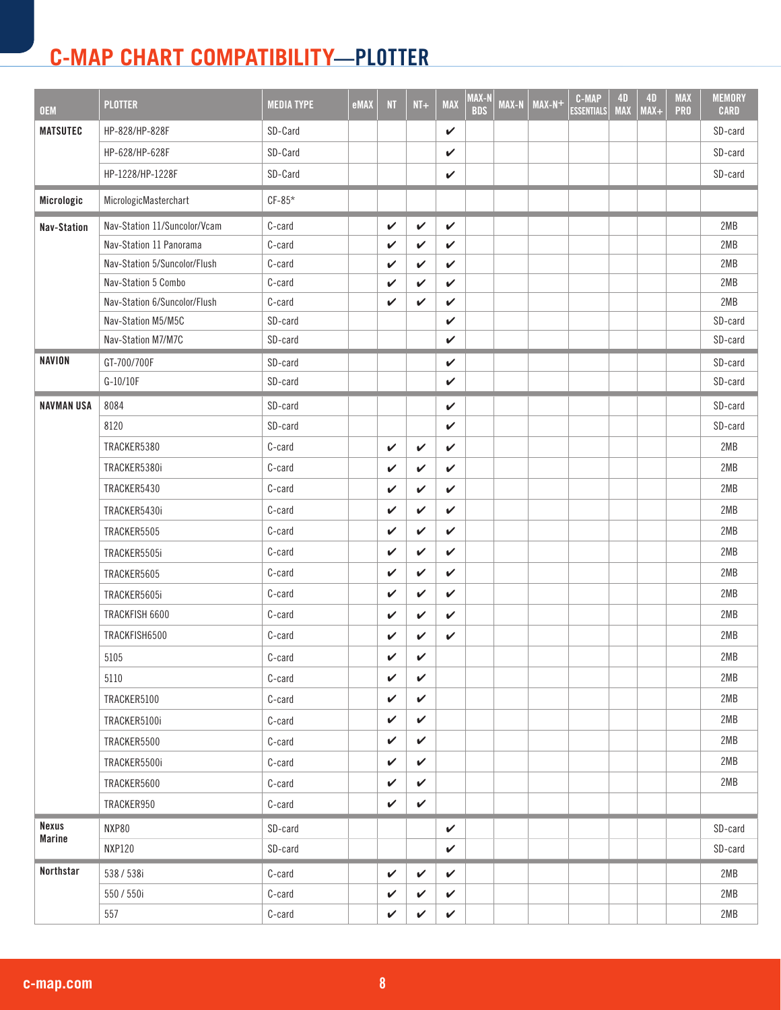| <b>OEM</b>                    | <b>PLOTTER</b>               | <b>MEDIA TYPE</b> | eMAX | <b>NT</b>    | $NI+$        | <b>MAX</b>   | MAX-N<br><b>BDS</b> | MAX-N | $MAX-N+$ | <b>C-MAP</b><br><b>ESSENTIALS</b> | <b>4D</b><br><b>MAX</b> | <b>4D</b><br>$MAX+$ | <b>MAX</b><br><b>PRO</b> | <b>MEMORY</b><br><b>CARD</b> |
|-------------------------------|------------------------------|-------------------|------|--------------|--------------|--------------|---------------------|-------|----------|-----------------------------------|-------------------------|---------------------|--------------------------|------------------------------|
| <b>MATSUTEC</b>               | HP-828/HP-828F               | SD-Card           |      |              |              | $\checkmark$ |                     |       |          |                                   |                         |                     |                          | SD-card                      |
|                               | HP-628/HP-628F               | SD-Card           |      |              |              | V            |                     |       |          |                                   |                         |                     |                          | SD-card                      |
|                               | HP-1228/HP-1228F             | SD-Card           |      |              |              | V            |                     |       |          |                                   |                         |                     |                          | SD-card                      |
| Micrologic                    | MicrologicMasterchart        | $CF-85*$          |      |              |              |              |                     |       |          |                                   |                         |                     |                          |                              |
| <b>Nav-Station</b>            | Nav-Station 11/Suncolor/Vcam | C-card            |      | V            | V            | V            |                     |       |          |                                   |                         |                     |                          | 2MB                          |
|                               | Nav-Station 11 Panorama      | C-card            |      | V            | ✓            | ✓            |                     |       |          |                                   |                         |                     |                          | 2MB                          |
|                               | Nav-Station 5/Suncolor/Flush | C-card            |      | V            | $\checkmark$ | $\checkmark$ |                     |       |          |                                   |                         |                     |                          | 2MB                          |
|                               | Nav-Station 5 Combo          | C-card            |      | V            | V            | ✓            |                     |       |          |                                   |                         |                     |                          | 2MB                          |
|                               | Nav-Station 6/Suncolor/Flush | C-card            |      | V            | $\checkmark$ | $\checkmark$ |                     |       |          |                                   |                         |                     |                          | 2MB                          |
|                               | Nav-Station M5/M5C           | SD-card           |      |              |              | $\checkmark$ |                     |       |          |                                   |                         |                     |                          | SD-card                      |
|                               | Nav-Station M7/M7C           | SD-card           |      |              |              | ✓            |                     |       |          |                                   |                         |                     |                          | SD-card                      |
| <b>NAVION</b>                 | GT-700/700F                  | SD-card           |      |              |              | V            |                     |       |          |                                   |                         |                     |                          | SD-card                      |
|                               | G-10/10F                     | SD-card           |      |              |              | $\checkmark$ |                     |       |          |                                   |                         |                     |                          | SD-card                      |
| <b>NAVMAN USA</b>             | 8084                         | SD-card           |      |              |              | $\checkmark$ |                     |       |          |                                   |                         |                     |                          | SD-card                      |
|                               | 8120                         | SD-card           |      |              |              | $\checkmark$ |                     |       |          |                                   |                         |                     |                          | SD-card                      |
|                               | TRACKER5380                  | C-card            |      | V            | $\mathbf{v}$ | $\checkmark$ |                     |       |          |                                   |                         |                     |                          | 2MB                          |
|                               | TRACKER5380i                 | C-card            |      | V            | V            | V            |                     |       |          |                                   |                         |                     |                          | 2MB                          |
|                               | TRACKER5430                  | C-card            |      | V            | $\checkmark$ | $\checkmark$ |                     |       |          |                                   |                         |                     |                          | 2MB                          |
|                               | TRACKER5430i                 | C-card            |      | V            | V            | $\checkmark$ |                     |       |          |                                   |                         |                     |                          | 2MB                          |
|                               | TRACKER5505                  | C-card            |      | V            | $\checkmark$ | $\checkmark$ |                     |       |          |                                   |                         |                     |                          | 2MB                          |
|                               | TRACKER5505i                 | C-card            |      | V            | $\checkmark$ | $\checkmark$ |                     |       |          |                                   |                         |                     |                          | 2MB                          |
|                               | TRACKER5605                  | C-card            |      | V            | $\checkmark$ | $\checkmark$ |                     |       |          |                                   |                         |                     |                          | 2MB                          |
|                               | TRACKER5605i                 | C-card            |      | V            | V            | $\checkmark$ |                     |       |          |                                   |                         |                     |                          | 2MB                          |
|                               | TRACKFISH 6600               | C-card            |      | V            | $\mathbf{v}$ | $\checkmark$ |                     |       |          |                                   |                         |                     |                          | 2MB                          |
|                               | TRACKFISH6500                | C-card            |      | V            | ✓            | V            |                     |       |          |                                   |                         |                     |                          | 2MB                          |
|                               | 5105                         | C-card            |      | V            | $\checkmark$ |              |                     |       |          |                                   |                         |                     |                          | 2MB                          |
|                               | 5110                         | C-card            |      | V            | V            |              |                     |       |          |                                   |                         |                     |                          | 2MB                          |
|                               | TRACKER5100                  | C-card            |      | V            | V            |              |                     |       |          |                                   |                         |                     |                          | 2MB                          |
|                               | TRACKER5100i                 | C-card            |      | ✓            | V            |              |                     |       |          |                                   |                         |                     |                          | 2MB                          |
|                               | TRACKER5500                  | C-card            |      | V            | $\checkmark$ |              |                     |       |          |                                   |                         |                     |                          | 2MB                          |
|                               | TRACKER5500i                 | C-card            |      | ✓            | $\checkmark$ |              |                     |       |          |                                   |                         |                     |                          | 2MB                          |
|                               | TRACKER5600                  | C-card            |      | V            | V            |              |                     |       |          |                                   |                         |                     |                          | 2MB                          |
|                               | TRACKER950                   | C-card            |      | V            | V            |              |                     |       |          |                                   |                         |                     |                          |                              |
| <b>Nexus</b><br><b>Marine</b> | NXP80                        | SD-card           |      |              |              | $\checkmark$ |                     |       |          |                                   |                         |                     |                          | SD-card                      |
|                               | <b>NXP120</b>                | SD-card           |      |              |              | $\checkmark$ |                     |       |          |                                   |                         |                     |                          | SD-card                      |
| Northstar                     | 538 / 538i                   | C-card            |      | V            | V            | $\checkmark$ |                     |       |          |                                   |                         |                     |                          | 2MB                          |
|                               | 550 / 550i                   | C-card            |      | V            | $\checkmark$ | $\checkmark$ |                     |       |          |                                   |                         |                     |                          | 2MB                          |
|                               | 557                          | C-card            |      | $\checkmark$ | $\checkmark$ | $\checkmark$ |                     |       |          |                                   |                         |                     |                          | 2MB                          |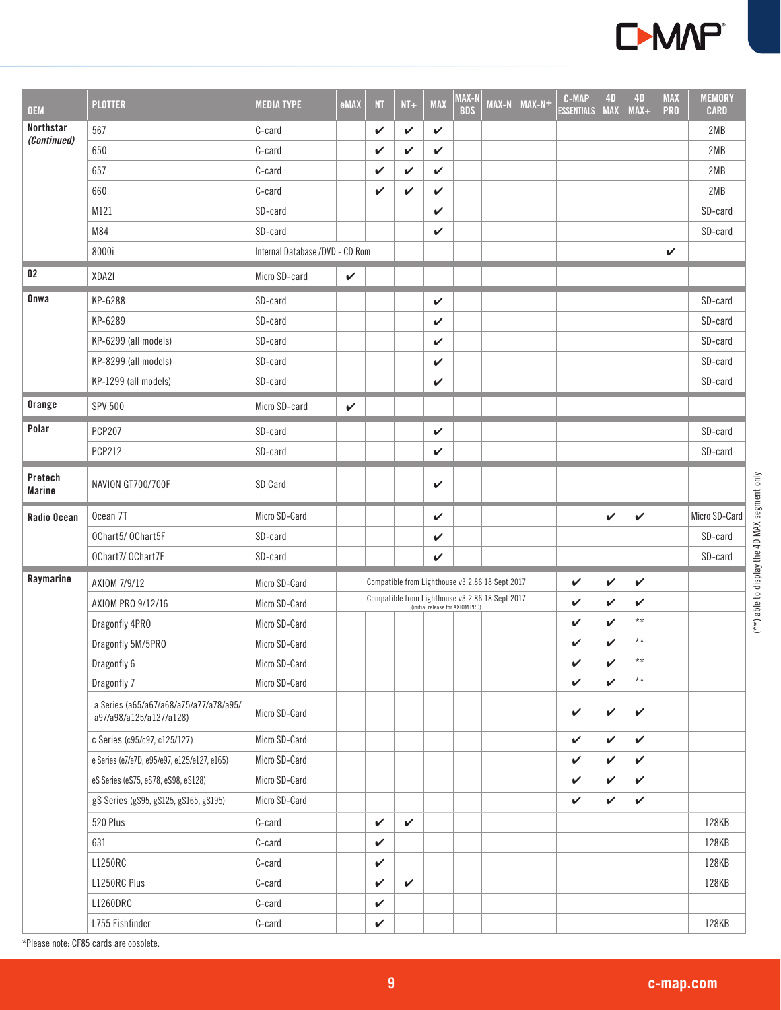

| <b>OEM</b>               | <b>PLOTTER</b>                                                    | <b>MEDIA TYPE</b>               | eMAX         | <b>NT</b>    | $NI+$        | <b>MAX</b> | MAX-N<br><b>BDS</b>             | MAX-N                                           | $MAX-N$ + | <b>C-MAP</b><br><b>ESSENTIALS</b> | <b>4D</b><br><b>MAX</b> | <b>4D</b><br>$MAX+$ | <b>MAX</b><br><b>PRO</b> | <b>MEMORY</b><br><b>CARD</b> |
|--------------------------|-------------------------------------------------------------------|---------------------------------|--------------|--------------|--------------|------------|---------------------------------|-------------------------------------------------|-----------|-----------------------------------|-------------------------|---------------------|--------------------------|------------------------------|
| Northstar<br>(Continued) | 567                                                               | C-card                          |              | V            | V            | V          |                                 |                                                 |           |                                   |                         |                     |                          | 2MB                          |
|                          | 650                                                               | C-card                          |              | V            | V            | V          |                                 |                                                 |           |                                   |                         |                     |                          | 2MB                          |
|                          | 657                                                               | C-card                          |              | V            | V            | V          |                                 |                                                 |           |                                   |                         |                     |                          | 2MB                          |
|                          | 660                                                               | C-card                          |              | V            | V            | V          |                                 |                                                 |           |                                   |                         |                     |                          | 2MB                          |
|                          | M121                                                              | SD-card                         |              |              |              | V          |                                 |                                                 |           |                                   |                         |                     |                          | SD-card                      |
|                          | M84                                                               | SD-card                         |              |              |              | V          |                                 |                                                 |           |                                   |                         |                     |                          | SD-card                      |
|                          | 8000i                                                             | Internal Database /DVD - CD Rom |              |              |              |            |                                 |                                                 |           |                                   |                         |                     | V                        |                              |
| 02                       | XDA2I                                                             | Micro SD-card                   | $\checkmark$ |              |              |            |                                 |                                                 |           |                                   |                         |                     |                          |                              |
| Onwa                     | KP-6288                                                           | SD-card                         |              |              |              | V          |                                 |                                                 |           |                                   |                         |                     |                          | SD-card                      |
|                          | KP-6289                                                           | SD-card                         |              |              |              | V          |                                 |                                                 |           |                                   |                         |                     |                          | SD-card                      |
|                          | KP-6299 (all models)                                              | SD-card                         |              |              |              | V          |                                 |                                                 |           |                                   |                         |                     |                          | SD-card                      |
|                          | KP-8299 (all models)                                              | SD-card                         |              |              |              | V          |                                 |                                                 |           |                                   |                         |                     |                          | SD-card                      |
|                          | KP-1299 (all models)                                              | SD-card                         |              |              |              | V          |                                 |                                                 |           |                                   |                         |                     |                          | SD-card                      |
| Orange                   | <b>SPV 500</b>                                                    | Micro SD-card                   | $\checkmark$ |              |              |            |                                 |                                                 |           |                                   |                         |                     |                          |                              |
| Polar                    | <b>PCP207</b>                                                     | SD-card                         |              |              |              | V          |                                 |                                                 |           |                                   |                         |                     |                          | SD-card                      |
|                          | <b>PCP212</b>                                                     | SD-card                         |              |              |              | V          |                                 |                                                 |           |                                   |                         |                     |                          | SD-card                      |
| Pretech<br><b>Marine</b> | NAVION GT700/700F                                                 | SD Card                         |              |              |              | V          |                                 |                                                 |           |                                   |                         |                     |                          |                              |
| Radio Ocean              | Ocean 7T                                                          | Micro SD-Card                   |              |              |              | V          |                                 |                                                 |           |                                   | V                       | V                   |                          | Micro SD-Card                |
|                          | OChart5/ OChart5F                                                 | SD-card                         |              |              |              | V          |                                 |                                                 |           |                                   |                         |                     |                          | SD-card                      |
|                          | OChart7/ OChart7F                                                 | SD-card                         |              |              |              | V          |                                 |                                                 |           |                                   |                         |                     |                          | SD-card                      |
| Raymarine                | AXIOM 7/9/12                                                      | Micro SD-Card                   |              |              |              |            |                                 | Compatible from Lighthouse v3.2.86 18 Sept 2017 |           | V                                 | $\checkmark$            | $\checkmark$        |                          |                              |
|                          | AXIOM PRO 9/12/16                                                 | Micro SD-Card                   |              |              |              |            | (initial release for AXIOM PRO) | Compatible from Lighthouse v3.2.86 18 Sept 2017 |           | V                                 | $\checkmark$            | $\boldsymbol{\nu}$  |                          |                              |
|                          | Dragonfly 4PR0                                                    | Micro SD-Card                   |              |              |              |            |                                 |                                                 |           | V                                 | $\checkmark$            | $***$               |                          |                              |
|                          | Dragonfly 5M/5PR0                                                 | Micro SD-Card                   |              |              |              |            |                                 |                                                 |           | V                                 | V                       | $***$               |                          |                              |
|                          | Dragonfly 6                                                       | Micro SD-Card                   |              |              |              |            |                                 |                                                 |           | $\checkmark$                      | $\checkmark$            | $**$                |                          |                              |
|                          | Dragonfly 7                                                       | Micro SD-Card                   |              |              |              |            |                                 |                                                 |           | $\checkmark$                      | $\checkmark$            | $^{\star\star}$     |                          |                              |
|                          | a Series (a65/a67/a68/a75/a77/a78/a95/<br>a97/a98/a125/a127/a128) | Micro SD-Card                   |              |              |              |            |                                 |                                                 |           | V                                 | $\checkmark$            | $\checkmark$        |                          |                              |
|                          | c Series (c95/c97, c125/127)                                      | Micro SD-Card                   |              |              |              |            |                                 |                                                 |           | $\checkmark$                      | $\checkmark$            | $\checkmark$        |                          |                              |
|                          | e Series (e7/e7D, e95/e97, e125/e127, e165)                       | Micro SD-Card                   |              |              |              |            |                                 |                                                 |           | V                                 | $\checkmark$            | $\checkmark$        |                          |                              |
|                          | eS Series (eS75, eS78, eS98, eS128)                               | Micro SD-Card                   |              |              |              |            |                                 |                                                 |           | V                                 | $\checkmark$            | ✓                   |                          |                              |
|                          | gS Series (gS95, gS125, gS165, gS195)                             | Micro SD-Card                   |              |              |              |            |                                 |                                                 |           | $\checkmark$                      | $\checkmark$            | $\checkmark$        |                          |                              |
|                          | 520 Plus                                                          | C-card                          |              | $\checkmark$ | $\checkmark$ |            |                                 |                                                 |           |                                   |                         |                     |                          | 128KB                        |
|                          | 631                                                               | C-card                          |              | $\checkmark$ |              |            |                                 |                                                 |           |                                   |                         |                     |                          | 128KB                        |
|                          | L1250RC                                                           | C-card                          |              | $\checkmark$ |              |            |                                 |                                                 |           |                                   |                         |                     |                          | 128KB                        |
|                          | L1250RC Plus                                                      | C-card                          |              | V            | $\checkmark$ |            |                                 |                                                 |           |                                   |                         |                     |                          | 128KB                        |
|                          | L1260DRC                                                          | C-card                          |              | $\checkmark$ |              |            |                                 |                                                 |           |                                   |                         |                     |                          |                              |
|                          | L755 Fishfinder                                                   | C-card                          |              | $\checkmark$ |              |            |                                 |                                                 |           |                                   |                         |                     |                          | 128KB                        |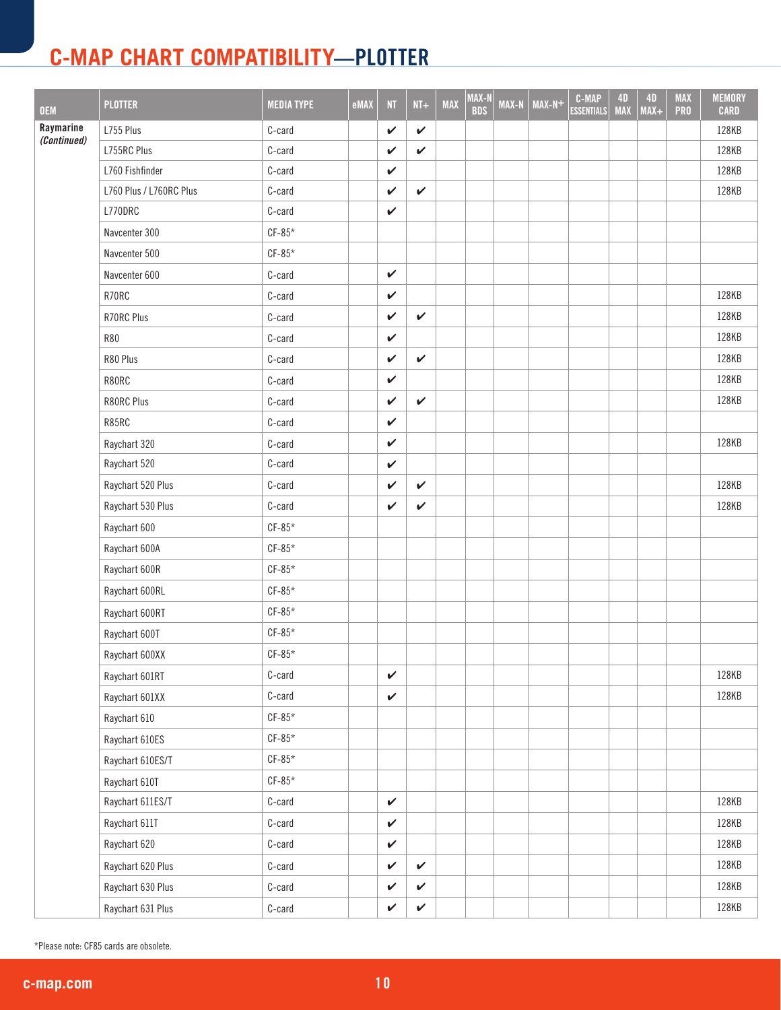| <b>OEM</b>               | <b>PLOTTER</b>          | <b>MEDIA TYPE</b> | eMAX | NT.          | $NT+$        | <b>MAX</b> | MAX-N<br><b>BDS</b> | MAX-N | $MAX-N+$ | <b>C-MAP</b><br><b>ESSENTIALS</b> | <b>4D</b><br><b>MAX</b> | 4D<br>$MAX+$ | <b>MAX</b><br><b>PRO</b> | <b>MEMORY</b><br><b>CARD</b> |
|--------------------------|-------------------------|-------------------|------|--------------|--------------|------------|---------------------|-------|----------|-----------------------------------|-------------------------|--------------|--------------------------|------------------------------|
| Raymarine<br>(Continued) | L755 Plus               | C-card            |      | $\checkmark$ | $\checkmark$ |            |                     |       |          |                                   |                         |              |                          | 128KB                        |
|                          | L755RC Plus             | C-card            |      | $\checkmark$ | $\checkmark$ |            |                     |       |          |                                   |                         |              |                          | 128KB                        |
|                          | L760 Fishfinder         | C-card            |      | $\checkmark$ |              |            |                     |       |          |                                   |                         |              |                          | 128KB                        |
|                          | L760 Plus / L760RC Plus | C-card            |      | V            | $\checkmark$ |            |                     |       |          |                                   |                         |              |                          | 128KB                        |
|                          | L770DRC                 | C-card            |      | $\checkmark$ |              |            |                     |       |          |                                   |                         |              |                          |                              |
|                          | Navcenter 300           | $CF-85*$          |      |              |              |            |                     |       |          |                                   |                         |              |                          |                              |
|                          | Navcenter 500           | $CF-85*$          |      |              |              |            |                     |       |          |                                   |                         |              |                          |                              |
|                          | Navcenter 600           | C-card            |      | $\checkmark$ |              |            |                     |       |          |                                   |                         |              |                          |                              |
|                          | R70RC                   | C-card            |      | $\checkmark$ |              |            |                     |       |          |                                   |                         |              |                          | 128KB                        |
|                          | R70RC Plus              | C-card            |      | $\checkmark$ | $\checkmark$ |            |                     |       |          |                                   |                         |              |                          | 128KB                        |
|                          | <b>R80</b>              | C-card            |      | $\checkmark$ |              |            |                     |       |          |                                   |                         |              |                          | 128KB                        |
|                          | R80 Plus                | C-card            |      | V            | $\checkmark$ |            |                     |       |          |                                   |                         |              |                          | 128KB                        |
|                          | R80RC                   | C-card            |      | $\checkmark$ |              |            |                     |       |          |                                   |                         |              |                          | 128KB                        |
|                          | R80RC Plus              | C-card            |      | V            | $\checkmark$ |            |                     |       |          |                                   |                         |              |                          | 128KB                        |
|                          | R85RC                   | C-card            |      | $\checkmark$ |              |            |                     |       |          |                                   |                         |              |                          |                              |
|                          | Raychart 320            | C-card            |      | V            |              |            |                     |       |          |                                   |                         |              |                          | 128KB                        |
|                          | Raychart 520            | C-card            |      | $\checkmark$ |              |            |                     |       |          |                                   |                         |              |                          |                              |
|                          | Raychart 520 Plus       | C-card            |      | V            | $\checkmark$ |            |                     |       |          |                                   |                         |              |                          | 128KB                        |
|                          | Raychart 530 Plus       | C-card            |      | V            | $\checkmark$ |            |                     |       |          |                                   |                         |              |                          | 128KB                        |
|                          | Raychart 600            | $CF-85*$          |      |              |              |            |                     |       |          |                                   |                         |              |                          |                              |
|                          | Raychart 600A           | $CF-85*$          |      |              |              |            |                     |       |          |                                   |                         |              |                          |                              |
|                          | Raychart 600R           | $CF-85*$          |      |              |              |            |                     |       |          |                                   |                         |              |                          |                              |
|                          | Raychart 600RL          | $CF-85*$          |      |              |              |            |                     |       |          |                                   |                         |              |                          |                              |
|                          | Raychart 600RT          | $CF-85*$          |      |              |              |            |                     |       |          |                                   |                         |              |                          |                              |
|                          | Raychart 600T           | $CF-85*$          |      |              |              |            |                     |       |          |                                   |                         |              |                          |                              |
|                          | Raychart 600XX          | $CF-85*$          |      |              |              |            |                     |       |          |                                   |                         |              |                          |                              |
|                          | Raychart 601RT          | C-card            |      | $\checkmark$ |              |            |                     |       |          |                                   |                         |              |                          | 128KB                        |
|                          | Raychart 601XX          | C-card            |      | $\checkmark$ |              |            |                     |       |          |                                   |                         |              |                          | 128KB                        |
|                          | Raychart 610            | $CF-85*$          |      |              |              |            |                     |       |          |                                   |                         |              |                          |                              |
|                          | Raychart 610ES          | $CF-85*$          |      |              |              |            |                     |       |          |                                   |                         |              |                          |                              |
|                          | Raychart 610ES/T        | $CF-85*$          |      |              |              |            |                     |       |          |                                   |                         |              |                          |                              |
|                          | Raychart 610T           | $CF-85*$          |      |              |              |            |                     |       |          |                                   |                         |              |                          |                              |
|                          | Raychart 611ES/T        | C-card            |      | $\checkmark$ |              |            |                     |       |          |                                   |                         |              |                          | 128KB                        |
|                          | Raychart 611T           | C-card            |      | $\checkmark$ |              |            |                     |       |          |                                   |                         |              |                          | 128KB                        |
|                          | Raychart 620            | C-card            |      | $\checkmark$ |              |            |                     |       |          |                                   |                         |              |                          | 128KB                        |
|                          | Raychart 620 Plus       | C-card            |      | $\checkmark$ | $\checkmark$ |            |                     |       |          |                                   |                         |              |                          | 128KB                        |
|                          | Raychart 630 Plus       | C-card            |      | $\checkmark$ | $\checkmark$ |            |                     |       |          |                                   |                         |              |                          | 128KB                        |
|                          | Raychart 631 Plus       | C-card            |      | $\checkmark$ | $\checkmark$ |            |                     |       |          |                                   |                         |              |                          | 128KB                        |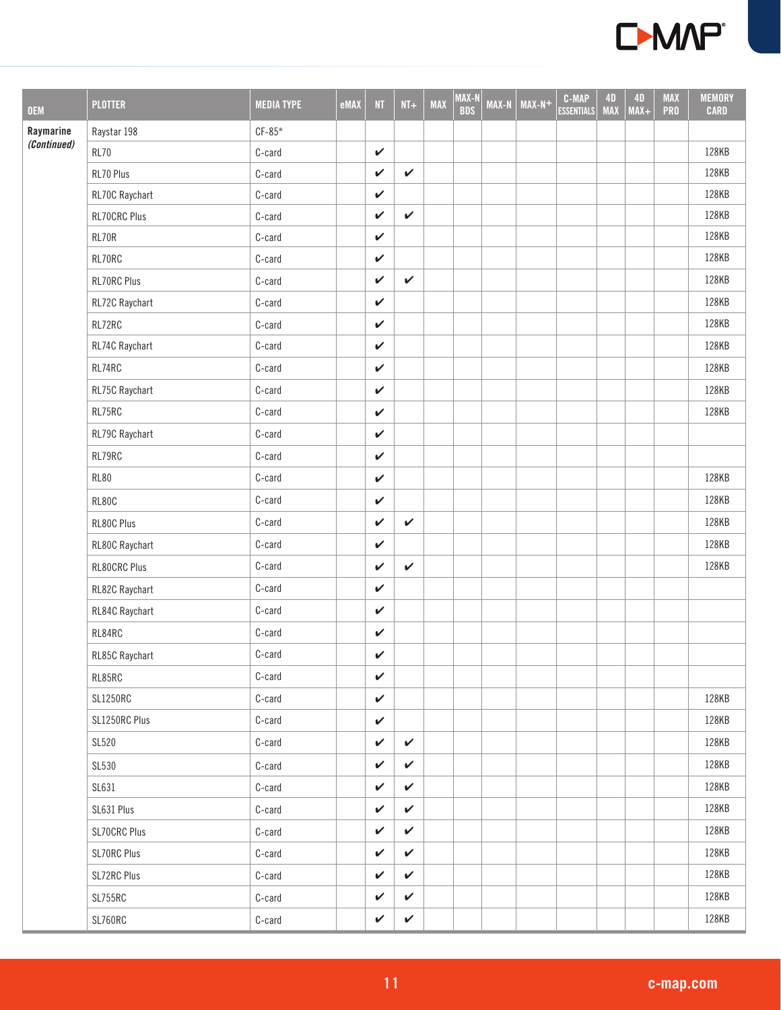

| <b>OEM</b>  | <b>PLOTTER</b>      | <b>MEDIA TYPE</b> | eMAX | N            | $NT+$        | <b>MAX</b> | MAX-N<br><b>BDS</b> | <b>MAX-N</b> | $MAX-N+$ | <b>C-MAP</b><br><b>ESSENTIALS</b> | <b>4D</b><br><b>MAX</b> | 4D<br>$MAX+$ | <b>MAX</b><br><b>PRO</b> | <b>MEMORY</b><br><b>CARD</b> |
|-------------|---------------------|-------------------|------|--------------|--------------|------------|---------------------|--------------|----------|-----------------------------------|-------------------------|--------------|--------------------------|------------------------------|
| Raymarine   | Raystar 198         | $CF-85*$          |      |              |              |            |                     |              |          |                                   |                         |              |                          |                              |
| (Continued) | <b>RL70</b>         | C-card            |      | $\checkmark$ |              |            |                     |              |          |                                   |                         |              |                          | 128KB                        |
|             | RL70 Plus           | C-card            |      | $\checkmark$ | $\checkmark$ |            |                     |              |          |                                   |                         |              |                          | 128KB                        |
|             | RL70C Raychart      | C-card            |      | $\checkmark$ |              |            |                     |              |          |                                   |                         |              |                          | 128KB                        |
|             | <b>RL70CRC Plus</b> | C-card            |      | $\checkmark$ | $\checkmark$ |            |                     |              |          |                                   |                         |              |                          | 128KB                        |
|             | RL70R               | C-card            |      | $\checkmark$ |              |            |                     |              |          |                                   |                         |              |                          | 128KB                        |
|             | RL70RC              | C-card            |      | $\checkmark$ |              |            |                     |              |          |                                   |                         |              |                          | 128KB                        |
|             | RL70RC Plus         | C-card            |      | $\checkmark$ | $\checkmark$ |            |                     |              |          |                                   |                         |              |                          | 128KB                        |
|             | RL72C Raychart      | C-card            |      | $\checkmark$ |              |            |                     |              |          |                                   |                         |              |                          | 128KB                        |
|             | RL72RC              | C-card            |      | $\checkmark$ |              |            |                     |              |          |                                   |                         |              |                          | 128KB                        |
|             | RL74C Raychart      | C-card            |      | $\checkmark$ |              |            |                     |              |          |                                   |                         |              |                          | 128KB                        |
|             | RL74RC              | C-card            |      | $\checkmark$ |              |            |                     |              |          |                                   |                         |              |                          | 128KB                        |
|             | RL75C Raychart      | C-card            |      | $\checkmark$ |              |            |                     |              |          |                                   |                         |              |                          | 128KB                        |
|             | RL75RC              | C-card            |      | $\checkmark$ |              |            |                     |              |          |                                   |                         |              |                          | 128KB                        |
|             | RL79C Raychart      | C-card            |      | $\checkmark$ |              |            |                     |              |          |                                   |                         |              |                          |                              |
|             | RL79RC              | C-card            |      | $\checkmark$ |              |            |                     |              |          |                                   |                         |              |                          |                              |
|             | <b>RL80</b>         | C-card            |      | $\checkmark$ |              |            |                     |              |          |                                   |                         |              |                          | 128KB                        |
|             | <b>RL80C</b>        | C-card            |      | $\checkmark$ |              |            |                     |              |          |                                   |                         |              |                          | 128KB                        |
|             | RL80C Plus          | C-card            |      | $\checkmark$ | $\checkmark$ |            |                     |              |          |                                   |                         |              |                          | 128KB                        |
|             | RL80C Raychart      | C-card            |      | $\checkmark$ |              |            |                     |              |          |                                   |                         |              |                          | 128KB                        |
|             | <b>RL80CRC Plus</b> | C-card            |      | $\checkmark$ | $\checkmark$ |            |                     |              |          |                                   |                         |              |                          | 128KB                        |
|             | RL82C Raychart      | C-card            |      | $\checkmark$ |              |            |                     |              |          |                                   |                         |              |                          |                              |
|             | RL84C Raychart      | C-card            |      | $\checkmark$ |              |            |                     |              |          |                                   |                         |              |                          |                              |
|             | RL84RC              | C-card            |      | $\checkmark$ |              |            |                     |              |          |                                   |                         |              |                          |                              |
|             | RL85C Raychart      | C-card            |      | $\checkmark$ |              |            |                     |              |          |                                   |                         |              |                          |                              |
|             | RL85RC              | C-card            |      | $\checkmark$ |              |            |                     |              |          |                                   |                         |              |                          |                              |
|             | <b>SL1250RC</b>     | C-card            |      | $\checkmark$ |              |            |                     |              |          |                                   |                         |              |                          | 128KB                        |
|             | SL1250RC Plus       | C-card            |      | $\checkmark$ |              |            |                     |              |          |                                   |                         |              |                          | 128KB                        |
|             | <b>SL520</b>        | C-card            |      | $\checkmark$ | ✓            |            |                     |              |          |                                   |                         |              |                          | 128KB                        |
|             | SL530               | C-card            |      | $\checkmark$ | $\checkmark$ |            |                     |              |          |                                   |                         |              |                          | 128KB                        |
|             | SL631               | C-card            |      | $\checkmark$ | $\checkmark$ |            |                     |              |          |                                   |                         |              |                          | 128KB                        |
|             | SL631 Plus          | C-card            |      | $\checkmark$ | $\checkmark$ |            |                     |              |          |                                   |                         |              |                          | 128KB                        |
|             | <b>SL70CRC Plus</b> | C-card            |      | $\checkmark$ | $\checkmark$ |            |                     |              |          |                                   |                         |              |                          | 128KB                        |
|             | SL70RC Plus         | C-card            |      | $\checkmark$ | $\checkmark$ |            |                     |              |          |                                   |                         |              |                          | 128KB                        |
|             | SL72RC Plus         | C-card            |      | $\checkmark$ | $\checkmark$ |            |                     |              |          |                                   |                         |              |                          | 128KB                        |
|             | SL755RC             | C-card            |      | $\checkmark$ | $\checkmark$ |            |                     |              |          |                                   |                         |              |                          | 128KB                        |
|             | SL760RC             | C-card            |      | $\checkmark$ | $\checkmark$ |            |                     |              |          |                                   |                         |              |                          | 128KB                        |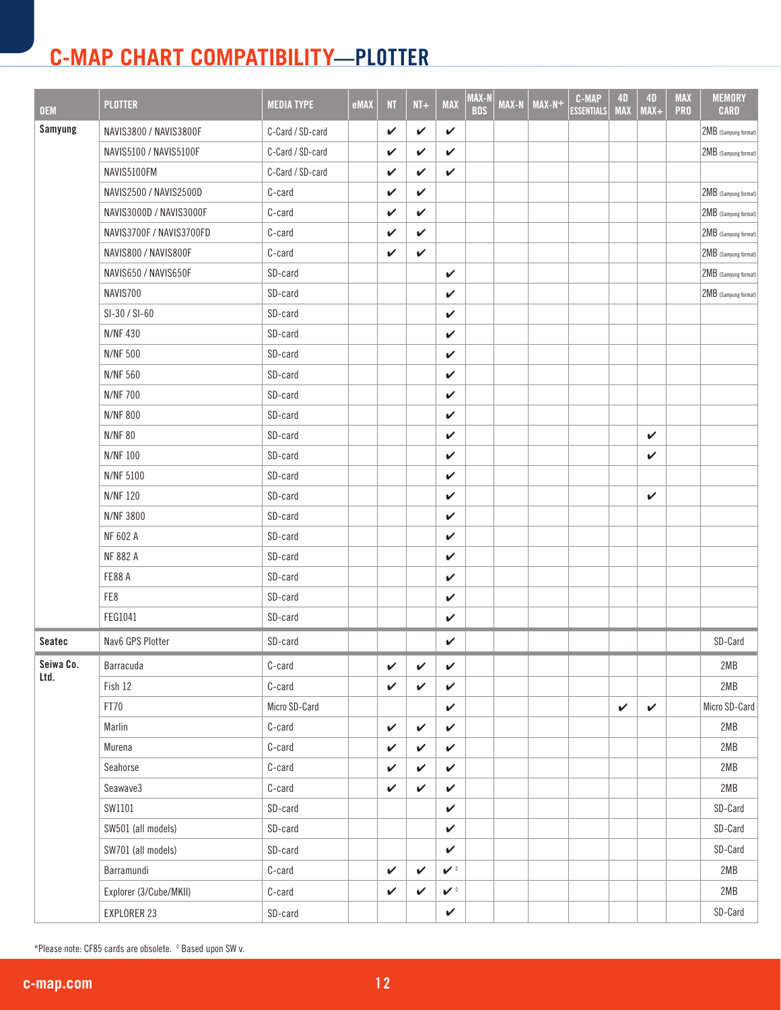| <b>OEM</b> | <b>PLOTTER</b>                | <b>MEDIA TYPE</b> | eMAX | N            | $NT+$        | <b>MAX</b>           | MAX-N<br><b>BDS</b> | <b>MAX-N</b> | $MAX-N+$ | <b>C-MAP</b><br><b>ESSENTIALS</b> | <b>4D</b><br><b>MAX</b> | <b>4D</b><br>$MAX+$ | <b>MAX</b><br><b>PRO</b> | <b>MEMORY</b><br><b>CARD</b> |
|------------|-------------------------------|-------------------|------|--------------|--------------|----------------------|---------------------|--------------|----------|-----------------------------------|-------------------------|---------------------|--------------------------|------------------------------|
| Samyung    | NAVIS3800 / NAVIS3800F        | C-Card / SD-card  |      | $\checkmark$ | $\checkmark$ | ✓                    |                     |              |          |                                   |                         |                     |                          | 2MB (Samyung format)         |
|            | <b>NAVIS5100 / NAVIS5100F</b> | C-Card / SD-card  |      | V            | V            | ✓                    |                     |              |          |                                   |                         |                     |                          | 2MB (Samyung format)         |
|            | NAVIS5100FM                   | C-Card / SD-card  |      | V            | V            | ✓                    |                     |              |          |                                   |                         |                     |                          |                              |
|            | NAVIS2500 / NAVIS2500D        | C-card            |      | V            | V            |                      |                     |              |          |                                   |                         |                     |                          | 2MB (Samyung format)         |
|            | NAVIS3000D / NAVIS3000F       | C-card            |      | V            | V            |                      |                     |              |          |                                   |                         |                     |                          | 2MB (Samyung format)         |
|            | NAVIS3700F / NAVIS3700FD      | C-card            |      | V            | V            |                      |                     |              |          |                                   |                         |                     |                          | 2MB (Samyung format)         |
|            | NAVIS800 / NAVIS800F          | C-card            |      | V            | $\checkmark$ |                      |                     |              |          |                                   |                         |                     |                          | 2MB (Samyung format)         |
|            | NAVIS650 / NAVIS650F          | SD-card           |      |              |              | V                    |                     |              |          |                                   |                         |                     |                          | 2MB (Samyung format)         |
|            | NAVIS700                      | SD-card           |      |              |              | V                    |                     |              |          |                                   |                         |                     |                          | 2MB (Samyung format)         |
|            | SI-30 / SI-60                 | SD-card           |      |              |              | V                    |                     |              |          |                                   |                         |                     |                          |                              |
|            | <b>N/NF430</b>                | SD-card           |      |              |              | ✓                    |                     |              |          |                                   |                         |                     |                          |                              |
|            | <b>N/NF 500</b>               | SD-card           |      |              |              | ✓                    |                     |              |          |                                   |                         |                     |                          |                              |
|            | <b>N/NF 560</b>               | SD-card           |      |              |              | V                    |                     |              |          |                                   |                         |                     |                          |                              |
|            | <b>N/NF 700</b>               | SD-card           |      |              |              | ✓                    |                     |              |          |                                   |                         |                     |                          |                              |
|            | <b>N/NF 800</b>               | SD-card           |      |              |              | ✓                    |                     |              |          |                                   |                         |                     |                          |                              |
|            | <b>N/NF80</b>                 | SD-card           |      |              |              | V                    |                     |              |          |                                   |                         | V                   |                          |                              |
|            | <b>N/NF100</b>                | SD-card           |      |              |              | ✓                    |                     |              |          |                                   |                         | V                   |                          |                              |
|            | <b>N/NF 5100</b>              | SD-card           |      |              |              | V                    |                     |              |          |                                   |                         |                     |                          |                              |
|            | <b>N/NF120</b>                | SD-card           |      |              |              | V                    |                     |              |          |                                   |                         | V                   |                          |                              |
|            | N/NF 3800                     | SD-card           |      |              |              | ✓                    |                     |              |          |                                   |                         |                     |                          |                              |
|            | NF 602 A                      | SD-card           |      |              |              | V                    |                     |              |          |                                   |                         |                     |                          |                              |
|            | <b>NF 882 A</b>               | SD-card           |      |              |              | V                    |                     |              |          |                                   |                         |                     |                          |                              |
|            | FE88A                         | SD-card           |      |              |              | ✓                    |                     |              |          |                                   |                         |                     |                          |                              |
|            | FE8                           | SD-card           |      |              |              | $\checkmark$         |                     |              |          |                                   |                         |                     |                          |                              |
|            | FEG1041                       | SD-card           |      |              |              | V                    |                     |              |          |                                   |                         |                     |                          |                              |
| Seatec     | Nav6 GPS Plotter              | SD-card           |      |              |              | ✓                    |                     |              |          |                                   |                         |                     |                          | SD-Card                      |
| Seiwa Co.  | Barracuda                     | C-card            |      | $\checkmark$ | $\checkmark$ | $\checkmark$         |                     |              |          |                                   |                         |                     |                          | 2MB                          |
| Ltd.       | Fish 12                       | C-card            |      | $\checkmark$ | V            | $\checkmark$         |                     |              |          |                                   |                         |                     |                          | 2MB                          |
|            | FT70                          | Micro SD-Card     |      |              |              | V                    |                     |              |          |                                   | V                       | $\checkmark$        |                          | Micro SD-Card                |
|            | Marlin                        | C-card            |      | $\checkmark$ | $\checkmark$ | ✓                    |                     |              |          |                                   |                         |                     |                          | 2MB                          |
|            | Murena                        | C-card            |      | V            | $\checkmark$ | ✓                    |                     |              |          |                                   |                         |                     |                          | 2MB                          |
|            | Seahorse                      | C-card            |      | V            | V            | $\checkmark$         |                     |              |          |                                   |                         |                     |                          | 2MB                          |
|            | Seawave3                      | C-card            |      | V            | $\checkmark$ | V                    |                     |              |          |                                   |                         |                     |                          | 2MB                          |
|            | SW1101                        | SD-card           |      |              |              | $\checkmark$         |                     |              |          |                                   |                         |                     |                          | SD-Card                      |
|            | SW501 (all models)            | SD-card           |      |              |              | $\checkmark$         |                     |              |          |                                   |                         |                     |                          | SD-Card                      |
|            | SW701 (all models)            | SD-card           |      |              |              | $\checkmark$         |                     |              |          |                                   |                         |                     |                          | SD-Card                      |
|            | Barramundi                    | C-card            |      | $\checkmark$ | V            | $\mathbf{v}$         |                     |              |          |                                   |                         |                     |                          | 2MB                          |
|            | Explorer (3/Cube/MKII)        | C-card            |      | V            | $\checkmark$ | $\blacktriangledown$ |                     |              |          |                                   |                         |                     |                          | 2MB                          |
|            | EXPLORER 23                   | SD-card           |      |              |              | $\checkmark$         |                     |              |          |                                   |                         |                     |                          | SD-Card                      |

\*Please note: CF85 cards are obsolete. ◊ Based upon SW v.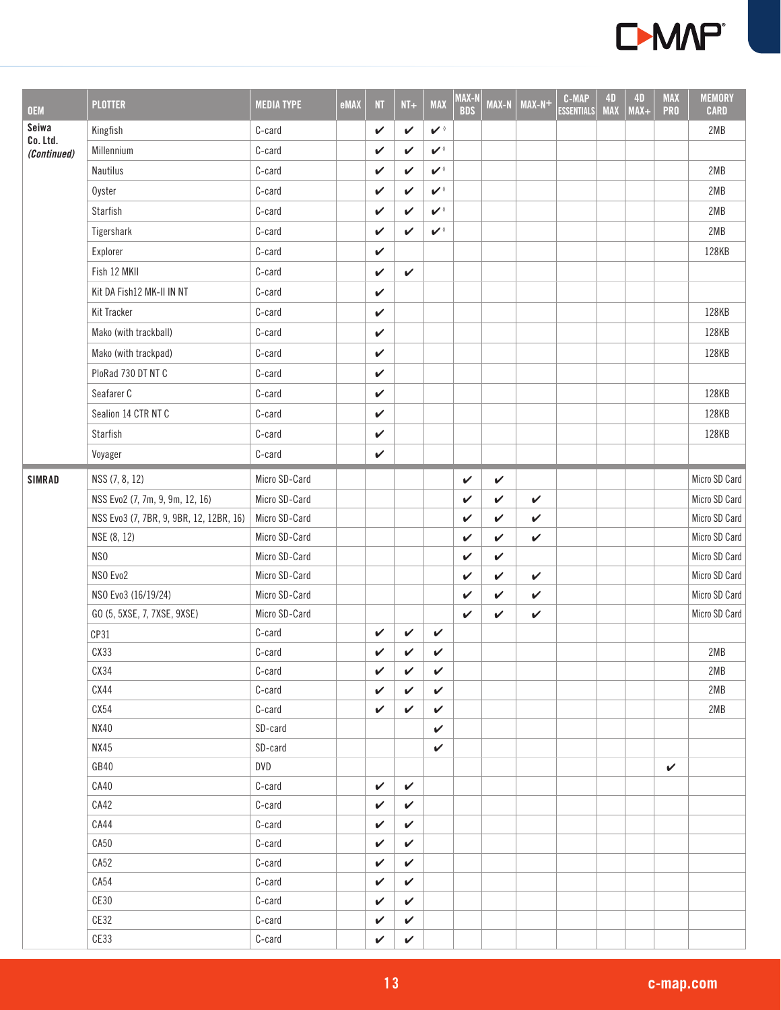

| <b>OEM</b>        | <b>PLOTTER</b>                          | <b>MEDIA TYPE</b> | eMAX | NT           | $NT+$        | <b>MAX</b>   | MAX-N<br><b>BDS</b> | <b>MAX-N</b> | $MAX-N+$     | <b>C-MAP</b><br><b>ESSENTIALS</b> | 4D<br><b>MAX</b> | 4D<br>$MAX+$ | <b>MAX</b><br><b>PRO</b> | <b>MEMORY</b><br><b>CARD</b> |
|-------------------|-----------------------------------------|-------------------|------|--------------|--------------|--------------|---------------------|--------------|--------------|-----------------------------------|------------------|--------------|--------------------------|------------------------------|
| Seiwa<br>Co. Ltd. | Kingfish                                | C-card            |      | $\checkmark$ | $\checkmark$ | $\mathbf{v}$ |                     |              |              |                                   |                  |              |                          | 2MB                          |
| (Continued)       | Millennium                              | C-card            |      | $\checkmark$ | $\checkmark$ | $\mathbf{v}$ |                     |              |              |                                   |                  |              |                          |                              |
|                   | Nautilus                                | C-card            |      | V            | $\checkmark$ | $\mathbf{v}$ |                     |              |              |                                   |                  |              |                          | 2MB                          |
|                   | Oyster                                  | C-card            |      | V            | ✓            | $\mathbf{v}$ |                     |              |              |                                   |                  |              |                          | 2MB                          |
|                   | Starfish                                | $C$ -card         |      | $\checkmark$ | $\checkmark$ | $\mathbf{v}$ |                     |              |              |                                   |                  |              |                          | 2MB                          |
|                   | Tigershark                              | C-card            |      | V            | $\checkmark$ | $\mathbf{v}$ |                     |              |              |                                   |                  |              |                          | 2MB                          |
|                   | Explorer                                | C-card            |      | V            |              |              |                     |              |              |                                   |                  |              |                          | 128KB                        |
|                   | Fish 12 MKII                            | C-card            |      | V            | $\checkmark$ |              |                     |              |              |                                   |                  |              |                          |                              |
|                   | Kit DA Fish12 MK-II IN NT               | C-card            |      | $\checkmark$ |              |              |                     |              |              |                                   |                  |              |                          |                              |
|                   | Kit Tracker                             | C-card            |      | $\checkmark$ |              |              |                     |              |              |                                   |                  |              |                          | 128KB                        |
|                   | Mako (with trackball)                   | C-card            |      | $\checkmark$ |              |              |                     |              |              |                                   |                  |              |                          | 128KB                        |
|                   | Mako (with trackpad)                    | C-card            |      | $\checkmark$ |              |              |                     |              |              |                                   |                  |              |                          | 128KB                        |
|                   | PloRad 730 DT NT C                      | C-card            |      | V            |              |              |                     |              |              |                                   |                  |              |                          |                              |
|                   | Seafarer C                              | C-card            |      | V            |              |              |                     |              |              |                                   |                  |              |                          | 128KB                        |
|                   | Sealion 14 CTR NT C                     | C-card            |      | $\checkmark$ |              |              |                     |              |              |                                   |                  |              |                          | 128KB                        |
|                   | Starfish                                | C-card            |      | $\checkmark$ |              |              |                     |              |              |                                   |                  |              |                          | 128KB                        |
|                   | Voyager                                 | C-card            |      | $\checkmark$ |              |              |                     |              |              |                                   |                  |              |                          |                              |
| <b>SIMRAD</b>     | NSS (7, 8, 12)                          | Micro SD-Card     |      |              |              |              | $\checkmark$        | $\checkmark$ |              |                                   |                  |              |                          | Micro SD Card                |
|                   | NSS Evo2 (7, 7m, 9, 9m, 12, 16)         | Micro SD-Card     |      |              |              |              | V                   | V            | $\checkmark$ |                                   |                  |              |                          | Micro SD Card                |
|                   | NSS Evo3 (7, 7BR, 9, 9BR, 12, 12BR, 16) | Micro SD-Card     |      |              |              |              | $\checkmark$        | $\checkmark$ | V            |                                   |                  |              |                          | Micro SD Card                |
|                   | NSE (8, 12)                             | Micro SD-Card     |      |              |              |              | $\checkmark$        | V            | $\checkmark$ |                                   |                  |              |                          | Micro SD Card                |
|                   | NS <sub>0</sub>                         | Micro SD-Card     |      |              |              |              | $\checkmark$        | V            |              |                                   |                  |              |                          | Micro SD Card                |
|                   | NSO Evo2                                | Micro SD-Card     |      |              |              |              | $\checkmark$        | $\checkmark$ | $\checkmark$ |                                   |                  |              |                          | Micro SD Card                |
|                   | NSO Evo3 (16/19/24)                     | Micro SD-Card     |      |              |              |              | $\checkmark$        | V            | $\checkmark$ |                                   |                  |              |                          | Micro SD Card                |
|                   | GO (5, 5XSE, 7, 7XSE, 9XSE)             | Micro SD-Card     |      |              |              |              | $\checkmark$        | $\checkmark$ | $\checkmark$ |                                   |                  |              |                          | Micro SD Card                |
|                   | CP31                                    | C-card            |      | V            | V            | $\checkmark$ |                     |              |              |                                   |                  |              |                          |                              |
|                   | CX33                                    | C-card            |      | V            | V            | V            |                     |              |              |                                   |                  |              |                          | 2MB                          |
|                   | CX34                                    | C-card            |      | V            | V            | $\checkmark$ |                     |              |              |                                   |                  |              |                          | 2MB                          |
|                   | CX44                                    | C-card            |      | V            | $\checkmark$ | $\checkmark$ |                     |              |              |                                   |                  |              |                          | 2MB                          |
|                   | CX54                                    | C-card            |      | V            | $\checkmark$ | $\checkmark$ |                     |              |              |                                   |                  |              |                          | 2MB                          |
|                   | <b>NX40</b>                             | SD-card           |      |              |              | $\checkmark$ |                     |              |              |                                   |                  |              |                          |                              |
|                   | <b>NX45</b>                             | SD-card           |      |              |              | $\checkmark$ |                     |              |              |                                   |                  |              |                          |                              |
|                   | GB40                                    | DVD<br>C-card     |      | $\checkmark$ | $\checkmark$ |              |                     |              |              |                                   |                  |              | $\checkmark$             |                              |
|                   | CA40<br>CA42                            | C-card            |      | V            | V            |              |                     |              |              |                                   |                  |              |                          |                              |
|                   | CA44                                    | C-card            |      | V            | $\checkmark$ |              |                     |              |              |                                   |                  |              |                          |                              |
|                   | CA50                                    | C-card            |      | V            | $\checkmark$ |              |                     |              |              |                                   |                  |              |                          |                              |
|                   | CA52                                    | C-card            |      | V            | $\checkmark$ |              |                     |              |              |                                   |                  |              |                          |                              |
|                   | CA54                                    | C-card            |      | V            | $\checkmark$ |              |                     |              |              |                                   |                  |              |                          |                              |
|                   | CE30                                    | C-card            |      | V            | $\checkmark$ |              |                     |              |              |                                   |                  |              |                          |                              |
|                   | CE32                                    | C-card            |      | V            | $\checkmark$ |              |                     |              |              |                                   |                  |              |                          |                              |
|                   | CE33                                    | C-card            |      | V            | $\checkmark$ |              |                     |              |              |                                   |                  |              |                          |                              |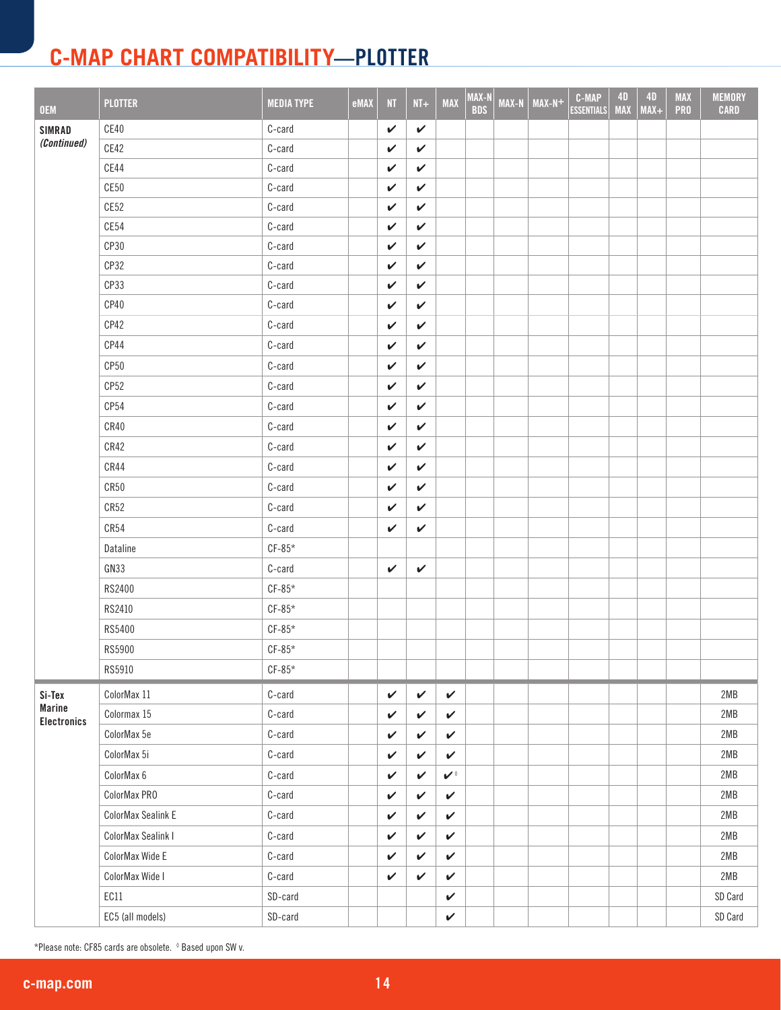| <b>OEM</b>                          | <b>PLOTTER</b>     | <b>MEDIA TYPE</b> | eMAX | <b>NT</b>    | $NT+$        | <b>MAX</b>   | MAX-N<br><b>BDS</b> | <b>MAX-N</b> | $MAX-N+$ | <b>C-MAP</b><br><b>ESSENTIALS</b> | 4D<br><b>MAX</b> | 4D<br>$MAX+$ | <b>MAX</b><br><b>PRO</b> | <b>MEMORY</b><br><b>CARD</b> |
|-------------------------------------|--------------------|-------------------|------|--------------|--------------|--------------|---------------------|--------------|----------|-----------------------------------|------------------|--------------|--------------------------|------------------------------|
| <b>SIMRAD</b>                       | CE40               | C-card            |      | V            | $\checkmark$ |              |                     |              |          |                                   |                  |              |                          |                              |
| (Continued)                         | CE42               | C-card            |      | V            | $\checkmark$ |              |                     |              |          |                                   |                  |              |                          |                              |
|                                     | CE44               | C-card            |      | $\checkmark$ | $\checkmark$ |              |                     |              |          |                                   |                  |              |                          |                              |
|                                     | CE50               | C-card            |      | V            | $\checkmark$ |              |                     |              |          |                                   |                  |              |                          |                              |
|                                     | CE52               | C-card            |      | V            | $\checkmark$ |              |                     |              |          |                                   |                  |              |                          |                              |
|                                     | CE54               | C-card            |      | V            | $\checkmark$ |              |                     |              |          |                                   |                  |              |                          |                              |
|                                     | CP30               | C-card            |      | $\checkmark$ | $\checkmark$ |              |                     |              |          |                                   |                  |              |                          |                              |
|                                     | CP32               | C-card            |      | ✓            | $\checkmark$ |              |                     |              |          |                                   |                  |              |                          |                              |
|                                     | CP33               | C-card            |      | V            | $\checkmark$ |              |                     |              |          |                                   |                  |              |                          |                              |
|                                     | CP40               | C-card            |      | $\checkmark$ | V            |              |                     |              |          |                                   |                  |              |                          |                              |
|                                     | CP42               | C-card            |      | $\checkmark$ | $\checkmark$ |              |                     |              |          |                                   |                  |              |                          |                              |
|                                     | CP44               | C-card            |      | $\checkmark$ | $\checkmark$ |              |                     |              |          |                                   |                  |              |                          |                              |
|                                     | CP <sub>50</sub>   | C-card            |      | $\checkmark$ | V            |              |                     |              |          |                                   |                  |              |                          |                              |
|                                     | CP <sub>52</sub>   | C-card            |      | $\checkmark$ | $\checkmark$ |              |                     |              |          |                                   |                  |              |                          |                              |
|                                     | CP54               | C-card            |      | $\checkmark$ | $\checkmark$ |              |                     |              |          |                                   |                  |              |                          |                              |
|                                     | CR40               | C-card            |      | $\checkmark$ | $\checkmark$ |              |                     |              |          |                                   |                  |              |                          |                              |
|                                     | CR42               | C-card            |      | $\checkmark$ | $\checkmark$ |              |                     |              |          |                                   |                  |              |                          |                              |
|                                     | CR44               | C-card            |      | $\checkmark$ | $\checkmark$ |              |                     |              |          |                                   |                  |              |                          |                              |
|                                     | CR50               | C-card            |      | $\checkmark$ | $\checkmark$ |              |                     |              |          |                                   |                  |              |                          |                              |
|                                     | CR52               | C-card            |      | $\checkmark$ | $\checkmark$ |              |                     |              |          |                                   |                  |              |                          |                              |
|                                     | CR54               | C-card            |      | $\checkmark$ | $\checkmark$ |              |                     |              |          |                                   |                  |              |                          |                              |
|                                     | Dataline           | $CF-85*$          |      |              |              |              |                     |              |          |                                   |                  |              |                          |                              |
|                                     | GN33               | C-card            |      | $\checkmark$ | $\checkmark$ |              |                     |              |          |                                   |                  |              |                          |                              |
|                                     | RS2400             | $CF-85*$          |      |              |              |              |                     |              |          |                                   |                  |              |                          |                              |
|                                     | RS2410             | $CF-85*$          |      |              |              |              |                     |              |          |                                   |                  |              |                          |                              |
|                                     | RS5400             | $CF-85*$          |      |              |              |              |                     |              |          |                                   |                  |              |                          |                              |
|                                     | RS5900             | $CF-85*$          |      |              |              |              |                     |              |          |                                   |                  |              |                          |                              |
|                                     | RS5910             | $CF-85*$          |      |              |              |              |                     |              |          |                                   |                  |              |                          |                              |
| Si-Tex                              | ColorMax 11        | C-card            |      | $\checkmark$ | $\checkmark$ | $\checkmark$ |                     |              |          |                                   |                  |              |                          | 2MB                          |
| <b>Marine</b><br><b>Electronics</b> | Colormax 15        | C-card            |      | $\checkmark$ | $\checkmark$ | $\checkmark$ |                     |              |          |                                   |                  |              |                          | 2MB                          |
|                                     | ColorMax 5e        | C-card            |      | V            | $\checkmark$ | V            |                     |              |          |                                   |                  |              |                          | 2MB                          |
|                                     | ColorMax 5i        | C-card            |      | $\checkmark$ | $\checkmark$ | V            |                     |              |          |                                   |                  |              |                          | 2MB                          |
|                                     | ColorMax 6         | C-card            |      | $\checkmark$ | $\checkmark$ | $\mathbf{v}$ |                     |              |          |                                   |                  |              |                          | 2MB                          |
|                                     | ColorMax PRO       | C-card            |      | $\checkmark$ | $\checkmark$ | $\checkmark$ |                     |              |          |                                   |                  |              |                          | 2MB                          |
|                                     | ColorMax Sealink E | C-card            |      | $\checkmark$ | $\checkmark$ | $\checkmark$ |                     |              |          |                                   |                  |              |                          | 2MB                          |
|                                     | ColorMax Sealink I | C-card            |      | $\checkmark$ | $\checkmark$ | $\checkmark$ |                     |              |          |                                   |                  |              |                          | 2MB                          |
|                                     | ColorMax Wide E    | C-card            |      | V            | $\checkmark$ | $\checkmark$ |                     |              |          |                                   |                  |              |                          | 2MB                          |
|                                     | ColorMax Wide I    | C-card            |      | $\checkmark$ | $\checkmark$ | $\checkmark$ |                     |              |          |                                   |                  |              |                          | 2MB                          |
|                                     | EC11               | SD-card           |      |              |              | $\checkmark$ |                     |              |          |                                   |                  |              |                          | SD Card                      |
|                                     | EC5 (all models)   | SD-card           |      |              |              | $\checkmark$ |                     |              |          |                                   |                  |              |                          | SD Card                      |

\*Please note: CF85 cards are obsolete. ◊ Based upon SW v.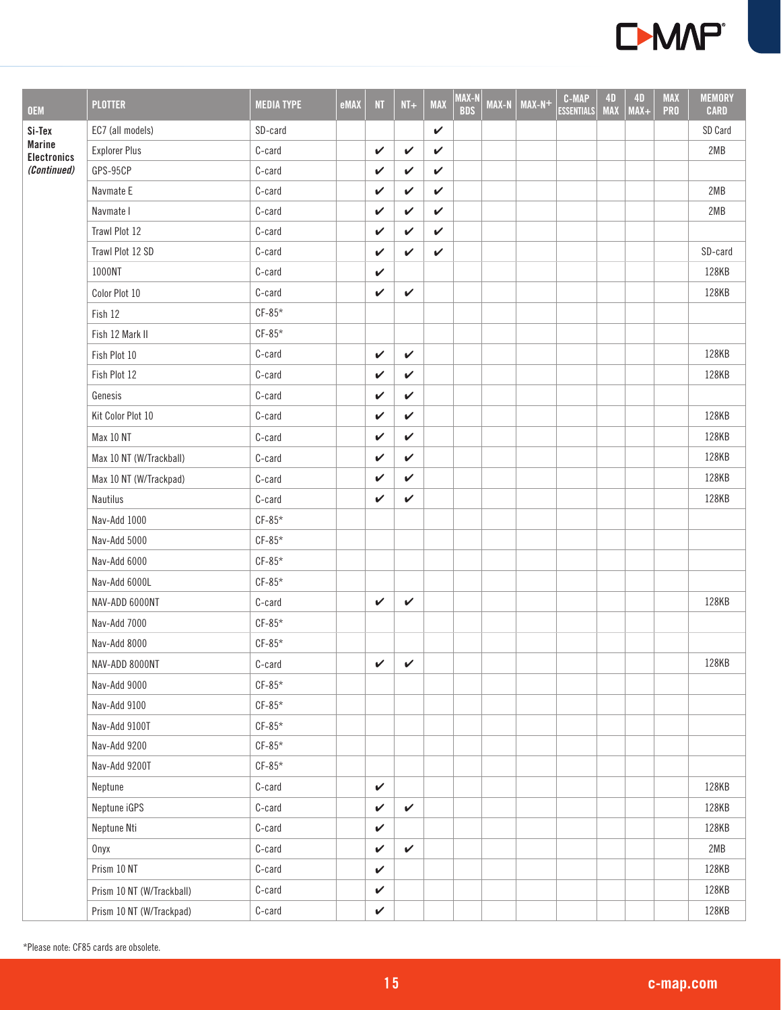

| <b>OEM</b>                          | <b>PLOTTER</b>            | <b>MEDIA TYPE</b> | eMAX | <b>NT</b>    | $NT+$        | <b>MAX</b>   | MAX-N<br><b>BDS</b> | <b>MAX-N</b> | $MAX-N+$ | <b>C-MAP</b><br><b>ESSENTIALS</b> | <b>4D</b><br><b>MAX</b> | <b>4D</b><br>$MAX+$ | <b>MAX</b><br><b>PRO</b> | <b>MEMORY</b><br><b>CARD</b> |
|-------------------------------------|---------------------------|-------------------|------|--------------|--------------|--------------|---------------------|--------------|----------|-----------------------------------|-------------------------|---------------------|--------------------------|------------------------------|
| Si-Tex                              | EC7 (all models)          | SD-card           |      |              |              | V            |                     |              |          |                                   |                         |                     |                          | SD Card                      |
| <b>Marine</b><br><b>Electronics</b> | <b>Explorer Plus</b>      | C-card            |      | $\checkmark$ | V            | $\checkmark$ |                     |              |          |                                   |                         |                     |                          | 2MB                          |
| (Continued)                         | GPS-95CP                  | C-card            |      | $\checkmark$ | V            | V            |                     |              |          |                                   |                         |                     |                          |                              |
|                                     | Navmate E                 | C-card            |      | V            | V            | V            |                     |              |          |                                   |                         |                     |                          | 2MB                          |
|                                     | Navmate I                 | C-card            |      | V            | $\checkmark$ | $\checkmark$ |                     |              |          |                                   |                         |                     |                          | 2MB                          |
|                                     | Trawl Plot 12             | C-card            |      | $\checkmark$ | V            | V            |                     |              |          |                                   |                         |                     |                          |                              |
|                                     | Trawl Plot 12 SD          | C-card            |      | V            | V            | V            |                     |              |          |                                   |                         |                     |                          | SD-card                      |
|                                     | 1000NT                    | C-card            |      | $\checkmark$ |              |              |                     |              |          |                                   |                         |                     |                          | 128KB                        |
|                                     | Color Plot 10             | C-card            |      | $\checkmark$ | $\checkmark$ |              |                     |              |          |                                   |                         |                     |                          | 128KB                        |
|                                     | Fish 12                   | $CF-85*$          |      |              |              |              |                     |              |          |                                   |                         |                     |                          |                              |
|                                     | Fish 12 Mark II           | $CF-85*$          |      |              |              |              |                     |              |          |                                   |                         |                     |                          |                              |
|                                     | Fish Plot 10              | C-card            |      | $\checkmark$ | $\checkmark$ |              |                     |              |          |                                   |                         |                     |                          | 128KB                        |
|                                     | Fish Plot 12              | C-card            |      | V            | V            |              |                     |              |          |                                   |                         |                     |                          | 128KB                        |
|                                     | Genesis                   | C-card            |      | V            | $\checkmark$ |              |                     |              |          |                                   |                         |                     |                          |                              |
|                                     | Kit Color Plot 10         | C-card            |      | V            | V            |              |                     |              |          |                                   |                         |                     |                          | 128KB                        |
|                                     | Max 10 NT                 | C-card            |      | V            | $\checkmark$ |              |                     |              |          |                                   |                         |                     |                          | 128KB                        |
|                                     | Max 10 NT (W/Trackball)   | C-card            |      | V            | V            |              |                     |              |          |                                   |                         |                     |                          | 128KB                        |
|                                     | Max 10 NT (W/Trackpad)    | C-card            |      | V            | V            |              |                     |              |          |                                   |                         |                     |                          | 128KB                        |
|                                     | Nautilus                  | C-card            |      | $\checkmark$ | V            |              |                     |              |          |                                   |                         |                     |                          | 128KB                        |
|                                     | Nav-Add 1000              | $CF-85*$          |      |              |              |              |                     |              |          |                                   |                         |                     |                          |                              |
|                                     | Nav-Add 5000              | $CF-85*$          |      |              |              |              |                     |              |          |                                   |                         |                     |                          |                              |
|                                     | Nav-Add 6000              | $CF-85*$          |      |              |              |              |                     |              |          |                                   |                         |                     |                          |                              |
|                                     | Nav-Add 6000L             | $CF-85*$          |      |              |              |              |                     |              |          |                                   |                         |                     |                          |                              |
|                                     | NAV-ADD 6000NT            | C-card            |      | $\checkmark$ | V            |              |                     |              |          |                                   |                         |                     |                          | 128KB                        |
|                                     | Nav-Add 7000              | $CF-85*$          |      |              |              |              |                     |              |          |                                   |                         |                     |                          |                              |
|                                     | Nav-Add 8000              | $CF-85*$          |      |              |              |              |                     |              |          |                                   |                         |                     |                          |                              |
|                                     | NAV-ADD 8000NT            | $C$ -card         |      | $\mathbf{v}$ | $\checkmark$ |              |                     |              |          |                                   |                         |                     |                          | 128KB                        |
|                                     | Nav-Add 9000              | $CF-85*$          |      |              |              |              |                     |              |          |                                   |                         |                     |                          |                              |
|                                     | Nav-Add 9100              | $CF-85*$          |      |              |              |              |                     |              |          |                                   |                         |                     |                          |                              |
|                                     | Nav-Add 9100T             | $CF-85*$          |      |              |              |              |                     |              |          |                                   |                         |                     |                          |                              |
|                                     | Nav-Add 9200              | $CF-85*$          |      |              |              |              |                     |              |          |                                   |                         |                     |                          |                              |
|                                     | Nav-Add 9200T             | $CF-85*$          |      |              |              |              |                     |              |          |                                   |                         |                     |                          |                              |
|                                     | Neptune                   | C-card            |      | $\checkmark$ |              |              |                     |              |          |                                   |                         |                     |                          | 128KB                        |
|                                     | Neptune iGPS              | C-card            |      | V            | $\checkmark$ |              |                     |              |          |                                   |                         |                     |                          | 128KB                        |
|                                     | Neptune Nti               | C-card            |      | $\checkmark$ |              |              |                     |              |          |                                   |                         |                     |                          | 128KB                        |
|                                     | Onyx                      | C-card            |      | V            | $\checkmark$ |              |                     |              |          |                                   |                         |                     |                          | 2MB                          |
|                                     | Prism 10 NT               | C-card            |      | $\checkmark$ |              |              |                     |              |          |                                   |                         |                     |                          | 128KB                        |
|                                     | Prism 10 NT (W/Trackball) | C-card            |      | $\checkmark$ |              |              |                     |              |          |                                   |                         |                     |                          | 128KB                        |
|                                     | Prism 10 NT (W/Trackpad)  | C-card            |      | $\checkmark$ |              |              |                     |              |          |                                   |                         |                     |                          | 128KB                        |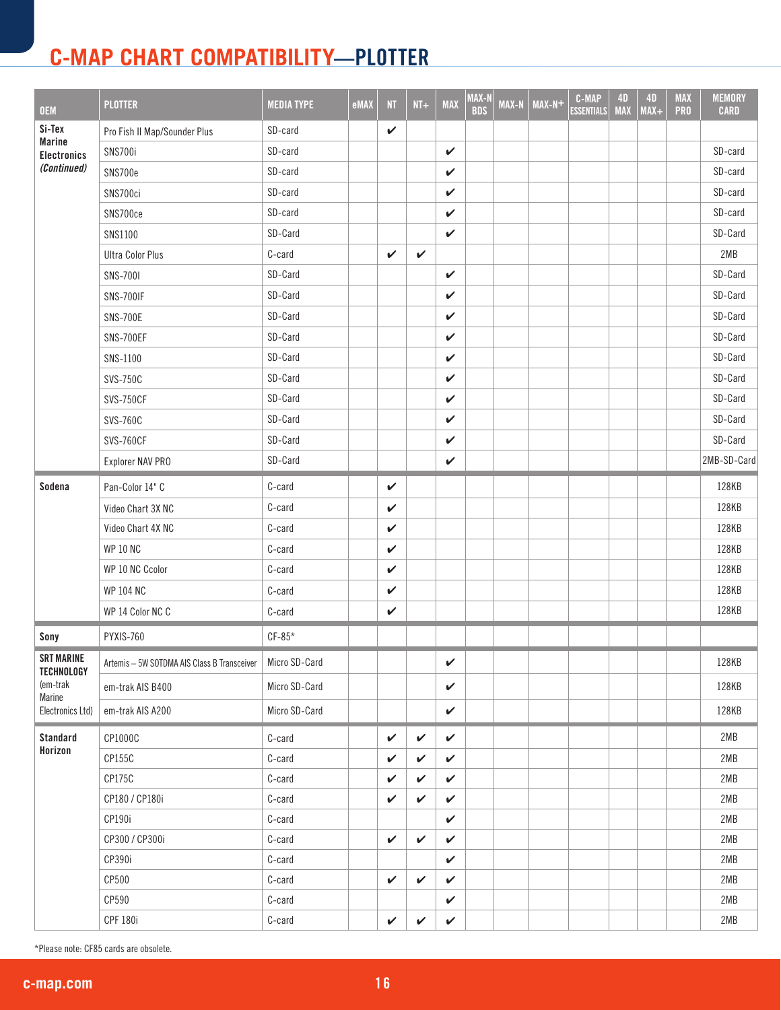| <b>OEM</b>                             | <b>PLOTTER</b>                                              | <b>MEDIA TYPE</b> | eMAX | NT           | $NI+$        | <b>MAX</b>   | MAX-N<br><b>BDS</b> | MAX-N | $MAX-N+$ | <b>C-MAP</b><br><b>ESSENTIALS</b> | <b>4D</b><br><b>MAX</b> | <b>4D</b><br>$MAX+$ | <b>MAX</b><br><b>PRO</b> | <b>MEMORY</b><br><b>CARD</b> |
|----------------------------------------|-------------------------------------------------------------|-------------------|------|--------------|--------------|--------------|---------------------|-------|----------|-----------------------------------|-------------------------|---------------------|--------------------------|------------------------------|
| Si-Tex                                 | Pro Fish II Map/Sounder Plus                                | SD-card           |      | $\checkmark$ |              |              |                     |       |          |                                   |                         |                     |                          |                              |
| <b>Marine</b><br><b>Electronics</b>    | SNS700i                                                     | SD-card           |      |              |              | $\checkmark$ |                     |       |          |                                   |                         |                     |                          | SD-card                      |
| (Continued)                            | SNS700e                                                     | SD-card           |      |              |              | V            |                     |       |          |                                   |                         |                     |                          | SD-card                      |
|                                        | SNS700ci                                                    | SD-card           |      |              |              | $\checkmark$ |                     |       |          |                                   |                         |                     |                          | SD-card                      |
|                                        | SNS700ce                                                    | SD-card           |      |              |              | $\checkmark$ |                     |       |          |                                   |                         |                     |                          | SD-card                      |
|                                        | SNS1100                                                     | SD-Card           |      |              |              | V            |                     |       |          |                                   |                         |                     |                          | SD-Card                      |
|                                        | <b>Ultra Color Plus</b>                                     | C-card            |      | V            | $\checkmark$ |              |                     |       |          |                                   |                         |                     |                          | 2MB                          |
|                                        | <b>SNS-7001</b>                                             | SD-Card           |      |              |              | V            |                     |       |          |                                   |                         |                     |                          | SD-Card                      |
|                                        | <b>SNS-700IF</b>                                            | SD-Card           |      |              |              | V            |                     |       |          |                                   |                         |                     |                          | SD-Card                      |
|                                        | <b>SNS-700E</b>                                             | SD-Card           |      |              |              | $\checkmark$ |                     |       |          |                                   |                         |                     |                          | SD-Card                      |
|                                        | SNS-700EF                                                   | SD-Card           |      |              |              | $\checkmark$ |                     |       |          |                                   |                         |                     |                          | SD-Card                      |
|                                        | SNS-1100                                                    | SD-Card           |      |              |              | $\checkmark$ |                     |       |          |                                   |                         |                     |                          | SD-Card                      |
|                                        | SVS-750C                                                    | SD-Card           |      |              |              | V            |                     |       |          |                                   |                         |                     |                          | SD-Card                      |
|                                        | <b>SVS-750CF</b>                                            | SD-Card           |      |              |              | $\checkmark$ |                     |       |          |                                   |                         |                     |                          | SD-Card                      |
|                                        | <b>SVS-760C</b>                                             | SD-Card           |      |              |              | $\checkmark$ |                     |       |          |                                   |                         |                     |                          | SD-Card                      |
|                                        | <b>SVS-760CF</b>                                            | SD-Card           |      |              |              | V            |                     |       |          |                                   |                         |                     |                          | SD-Card                      |
|                                        | Explorer NAV PRO                                            | SD-Card           |      |              |              | $\checkmark$ |                     |       |          |                                   |                         |                     |                          | 2MB-SD-Card                  |
| Sodena                                 | Pan-Color 14" C                                             | C-card            |      | V            |              |              |                     |       |          |                                   |                         |                     |                          | 128KB                        |
|                                        | Video Chart 3X NC                                           | C-card            |      | V            |              |              |                     |       |          |                                   |                         |                     |                          | 128KB                        |
|                                        | Video Chart 4X NC                                           | C-card            |      | $\checkmark$ |              |              |                     |       |          |                                   |                         |                     |                          | 128KB                        |
|                                        | <b>WP 10 NC</b>                                             | C-card            |      | $\checkmark$ |              |              |                     |       |          |                                   |                         |                     |                          | 128KB                        |
|                                        | WP 10 NC Ccolor                                             | C-card            |      | V            |              |              |                     |       |          |                                   |                         |                     |                          | 128KB                        |
|                                        | <b>WP 104 NC</b>                                            | C-card            |      | $\checkmark$ |              |              |                     |       |          |                                   |                         |                     |                          | 128KB                        |
|                                        | WP 14 Color NC C                                            | C-card            |      | $\checkmark$ |              |              |                     |       |          |                                   |                         |                     |                          | 128KB                        |
| Sony                                   | PYXIS-760                                                   | $CF-85*$          |      |              |              |              |                     |       |          |                                   |                         |                     |                          |                              |
| <b>SRT MARINE</b><br><b>TECHNOLOGY</b> | Artemis - 5W SOTDMA AIS Class B Transceiver   Micro SD-Card |                   |      |              |              | $\checkmark$ |                     |       |          |                                   |                         |                     |                          | 128KB                        |
| (em-trak<br>Marine                     | em-trak AIS B400                                            | Micro SD-Card     |      |              |              | V            |                     |       |          |                                   |                         |                     |                          | 128KB                        |
| Electronics Ltd)                       | em-trak AIS A200                                            | Micro SD-Card     |      |              |              | ✓            |                     |       |          |                                   |                         |                     |                          | 128KB                        |
| Standard                               | CP1000C                                                     | C-card            |      | $\checkmark$ | $\checkmark$ | $\checkmark$ |                     |       |          |                                   |                         |                     |                          | 2MB                          |
| Horizon                                | CP155C                                                      | C-card            |      | V            | V            | V            |                     |       |          |                                   |                         |                     |                          | 2MB                          |
|                                        | CP175C                                                      | C-card            |      | V            | V            | V            |                     |       |          |                                   |                         |                     |                          | 2MB                          |
|                                        | CP180 / CP180i                                              | C-card            |      | V            | V            | V            |                     |       |          |                                   |                         |                     |                          | 2MB                          |
|                                        | CP190i                                                      | C-card            |      |              |              | $\checkmark$ |                     |       |          |                                   |                         |                     |                          | 2MB                          |
|                                        | CP300 / CP300i                                              | C-card            |      | $\checkmark$ | V            | $\checkmark$ |                     |       |          |                                   |                         |                     |                          | 2MB                          |
|                                        | CP390i                                                      | C-card            |      |              |              | $\checkmark$ |                     |       |          |                                   |                         |                     |                          | 2MB                          |
|                                        | CP500                                                       | C-card            |      | $\checkmark$ | ✓            | V            |                     |       |          |                                   |                         |                     |                          | 2MB                          |
|                                        | CP590                                                       | C-card            |      |              |              | V            |                     |       |          |                                   |                         |                     |                          | 2MB                          |
|                                        | <b>CPF 180i</b>                                             | C-card            |      | $\checkmark$ | $\checkmark$ | $\checkmark$ |                     |       |          |                                   |                         |                     |                          | 2MB                          |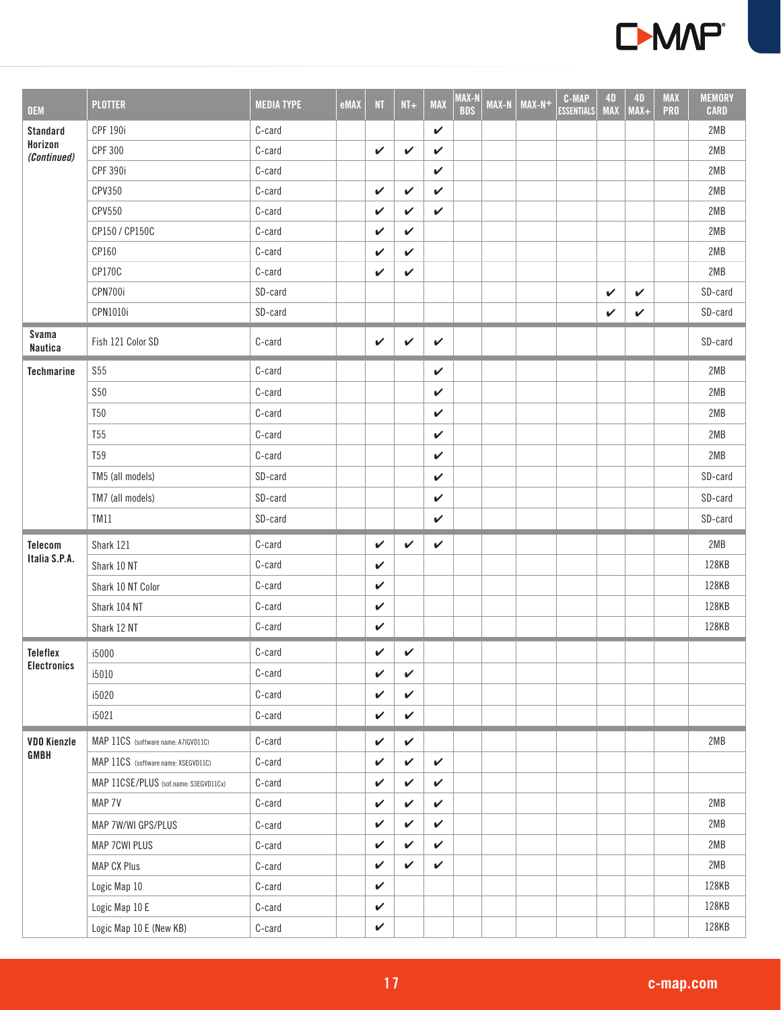

| <b>OEM</b>              | <b>PLOTTER</b>                        | <b>MEDIA TYPE</b> | eMAX | NT           | $NT+$        | <b>MAX</b>   | MAX-N<br><b>BDS</b> | MAX-N | $MAX-N+$ | <b>C-MAP</b><br><b>ESSENTIALS</b> | <b>4D</b><br><b>MAX</b> | <b>4D</b><br>$MAX+$ | <b>MAX</b><br><b>PRO</b> | <b>MEMORY</b><br><b>CARD</b> |
|-------------------------|---------------------------------------|-------------------|------|--------------|--------------|--------------|---------------------|-------|----------|-----------------------------------|-------------------------|---------------------|--------------------------|------------------------------|
| Standard                | <b>CPF 190i</b>                       | C-card            |      |              |              | $\checkmark$ |                     |       |          |                                   |                         |                     |                          | 2MB                          |
| Horizon<br>(Continued)  | <b>CPF 300</b>                        | C-card            |      | V            | V            | V            |                     |       |          |                                   |                         |                     |                          | 2MB                          |
|                         | <b>CPF 390i</b>                       | C-card            |      |              |              | $\checkmark$ |                     |       |          |                                   |                         |                     |                          | 2MB                          |
|                         | CPV350                                | C-card            |      | V            | V            | $\checkmark$ |                     |       |          |                                   |                         |                     |                          | 2MB                          |
|                         | CPV550                                | C-card            |      | $\checkmark$ | V            | $\checkmark$ |                     |       |          |                                   |                         |                     |                          | 2MB                          |
|                         | CP150 / CP150C                        | C-card            |      | V            | V            |              |                     |       |          |                                   |                         |                     |                          | 2MB                          |
|                         | CP160                                 | C-card            |      | V            | ✓            |              |                     |       |          |                                   |                         |                     |                          | 2MB                          |
|                         | CP170C                                | C-card            |      | $\checkmark$ | $\checkmark$ |              |                     |       |          |                                   |                         |                     |                          | 2MB                          |
|                         | CPN700i                               | SD-card           |      |              |              |              |                     |       |          |                                   | $\checkmark$            | $\checkmark$        |                          | SD-card                      |
|                         | CPN1010i                              | SD-card           |      |              |              |              |                     |       |          |                                   | V                       | $\checkmark$        |                          | SD-card                      |
| Svama<br><b>Nautica</b> | Fish 121 Color SD                     | C-card            |      | $\checkmark$ | $\checkmark$ | $\checkmark$ |                     |       |          |                                   |                         |                     |                          | SD-card                      |
| <b>Techmarine</b>       | <b>S55</b>                            | C-card            |      |              |              | $\checkmark$ |                     |       |          |                                   |                         |                     |                          | 2MB                          |
|                         | <b>S50</b>                            | C-card            |      |              |              | $\checkmark$ |                     |       |          |                                   |                         |                     |                          | 2MB                          |
|                         | <b>T50</b>                            | C-card            |      |              |              | $\checkmark$ |                     |       |          |                                   |                         |                     |                          | 2MB                          |
|                         | <b>T55</b>                            | C-card            |      |              |              | $\checkmark$ |                     |       |          |                                   |                         |                     |                          | 2MB                          |
|                         | <b>T59</b>                            | C-card            |      |              |              | V            |                     |       |          |                                   |                         |                     |                          | 2MB                          |
|                         | TM5 (all models)                      | SD-card           |      |              |              | $\checkmark$ |                     |       |          |                                   |                         |                     |                          | SD-card                      |
|                         | TM7 (all models)                      | SD-card           |      |              |              | $\checkmark$ |                     |       |          |                                   |                         |                     |                          | SD-card                      |
|                         | TM11                                  | SD-card           |      |              |              | V            |                     |       |          |                                   |                         |                     |                          | SD-card                      |
| Telecom                 | Shark 121                             | C-card            |      | $\checkmark$ | $\checkmark$ | $\checkmark$ |                     |       |          |                                   |                         |                     |                          | 2MB                          |
| Italia S.P.A.           | Shark 10 NT                           | C-card            |      | $\checkmark$ |              |              |                     |       |          |                                   |                         |                     |                          | 128KB                        |
|                         | Shark 10 NT Color                     | C-card            |      | V            |              |              |                     |       |          |                                   |                         |                     |                          | 128KB                        |
|                         | Shark 104 NT                          | C-card            |      | $\checkmark$ |              |              |                     |       |          |                                   |                         |                     |                          | 128KB                        |
|                         | Shark 12 NT                           | C-card            |      | V            |              |              |                     |       |          |                                   |                         |                     |                          | 128KB                        |
| Teleflex                | i5000                                 | C-card            |      | $\checkmark$ | $\checkmark$ |              |                     |       |          |                                   |                         |                     |                          |                              |
| <b>Electronics</b>      | i5010                                 | C-card            |      | V            | V            |              |                     |       |          |                                   |                         |                     |                          |                              |
|                         | i5020                                 | C-card            |      | $\checkmark$ | $\checkmark$ |              |                     |       |          |                                   |                         |                     |                          |                              |
|                         | i5021                                 | C-card            |      | $\checkmark$ | $\checkmark$ |              |                     |       |          |                                   |                         |                     |                          |                              |
| <b>VDO Kienzle</b>      | MAP 11CS (software name: A7IGVD11C)   | C-card            |      | V            | V            |              |                     |       |          |                                   |                         |                     |                          | 2MB                          |
| <b>GMBH</b>             | MAP 11CS (software name: XSEGVD11C)   | C-card            |      | V            | $\checkmark$ | $\checkmark$ |                     |       |          |                                   |                         |                     |                          |                              |
|                         | MAP 11CSE/PLUS (sof.name: S3EGVD11Cx) | C-card            |      | V            | $\checkmark$ | $\checkmark$ |                     |       |          |                                   |                         |                     |                          |                              |
|                         | MAP 7V                                | C-card            |      | V            | V            | V            |                     |       |          |                                   |                         |                     |                          | 2MB                          |
|                         | MAP 7W/WI GPS/PLUS                    | C-card            |      | V            | $\checkmark$ | $\checkmark$ |                     |       |          |                                   |                         |                     |                          | 2MB                          |
|                         | MAP 7CWI PLUS                         | C-card            |      | V            | $\checkmark$ | $\checkmark$ |                     |       |          |                                   |                         |                     |                          | 2MB                          |
|                         | MAP CX Plus                           | C-card            |      | $\checkmark$ | V            | $\checkmark$ |                     |       |          |                                   |                         |                     |                          | 2MB                          |
|                         | Logic Map 10                          | C-card            |      | $\checkmark$ |              |              |                     |       |          |                                   |                         |                     |                          | 128KB                        |
|                         | Logic Map 10 E                        | C-card            |      | V            |              |              |                     |       |          |                                   |                         |                     |                          | 128KB                        |
|                         | Logic Map 10 E (New KB)               | C-card            |      | $\checkmark$ |              |              |                     |       |          |                                   |                         |                     |                          | 128KB                        |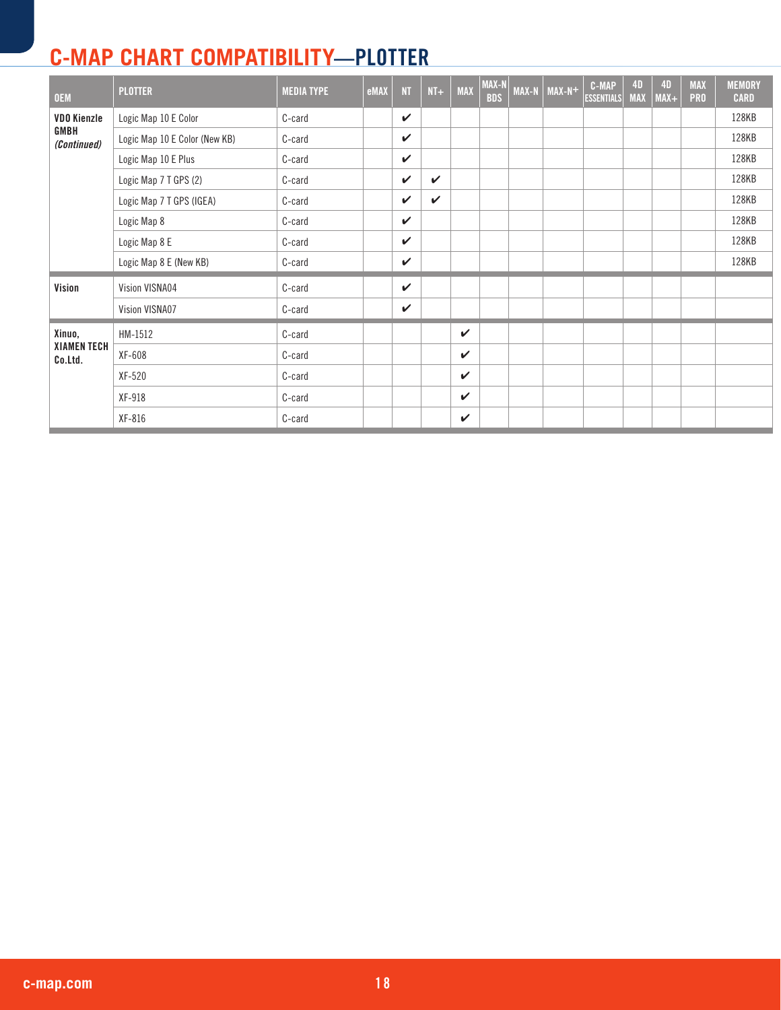| <b>OEM</b>                   | <b>PLOTTER</b>                | <b>MEDIA TYPE</b> | eMAX | <b>NT</b>    | $NT+$        | <b>MAX</b>   | $MAX-N$<br><b>BDS</b> | <b>MAX-N</b> | MAX-N+ | C-MAP<br><b>ESSENTIALS</b> | <b>4D</b><br><b>MAX</b> | <b>4D</b><br>$MAX+$ | <b>MAX</b><br><b>PRO</b> | <b>MEMORY</b><br><b>CARD</b> |
|------------------------------|-------------------------------|-------------------|------|--------------|--------------|--------------|-----------------------|--------------|--------|----------------------------|-------------------------|---------------------|--------------------------|------------------------------|
| <b>VDO Kienzle</b>           | Logic Map 10 E Color          | C-card            |      | $\checkmark$ |              |              |                       |              |        |                            |                         |                     |                          | 128KB                        |
| GMBH<br>(Continued)          | Logic Map 10 E Color (New KB) | C-card            |      | $\checkmark$ |              |              |                       |              |        |                            |                         |                     |                          | 128KB                        |
|                              | Logic Map 10 E Plus           | C-card            |      | $\checkmark$ |              |              |                       |              |        |                            |                         |                     |                          | 128KB                        |
|                              | Logic Map 7 T GPS (2)         | C-card            |      | $\checkmark$ | $\checkmark$ |              |                       |              |        |                            |                         |                     |                          | 128KB                        |
|                              | Logic Map 7 T GPS (IGEA)      | C-card            |      | $\checkmark$ | $\checkmark$ |              |                       |              |        |                            |                         |                     |                          | 128KB                        |
|                              | Logic Map 8                   | C-card            |      | $\checkmark$ |              |              |                       |              |        |                            |                         |                     |                          | 128KB                        |
|                              | Logic Map 8 E                 | C-card            |      | $\checkmark$ |              |              |                       |              |        |                            |                         |                     |                          | 128KB                        |
|                              | Logic Map 8 E (New KB)        | C-card            |      | $\checkmark$ |              |              |                       |              |        |                            |                         |                     |                          | 128KB                        |
| Vision                       | Vision VISNA04                | C-card            |      | $\checkmark$ |              |              |                       |              |        |                            |                         |                     |                          |                              |
|                              | Vision VISNA07                | C-card            |      | $\checkmark$ |              |              |                       |              |        |                            |                         |                     |                          |                              |
| Xinuo,                       | HM-1512                       | C-card            |      |              |              | $\checkmark$ |                       |              |        |                            |                         |                     |                          |                              |
| <b>XIAMENTECH</b><br>Co.Ltd. | XF-608                        | C-card            |      |              |              | $\checkmark$ |                       |              |        |                            |                         |                     |                          |                              |
|                              | XF-520                        | C-card            |      |              |              | $\checkmark$ |                       |              |        |                            |                         |                     |                          |                              |
|                              | XF-918                        | C-card            |      |              |              | $\checkmark$ |                       |              |        |                            |                         |                     |                          |                              |
|                              | XF-816                        | C-card            |      |              |              | $\checkmark$ |                       |              |        |                            |                         |                     |                          |                              |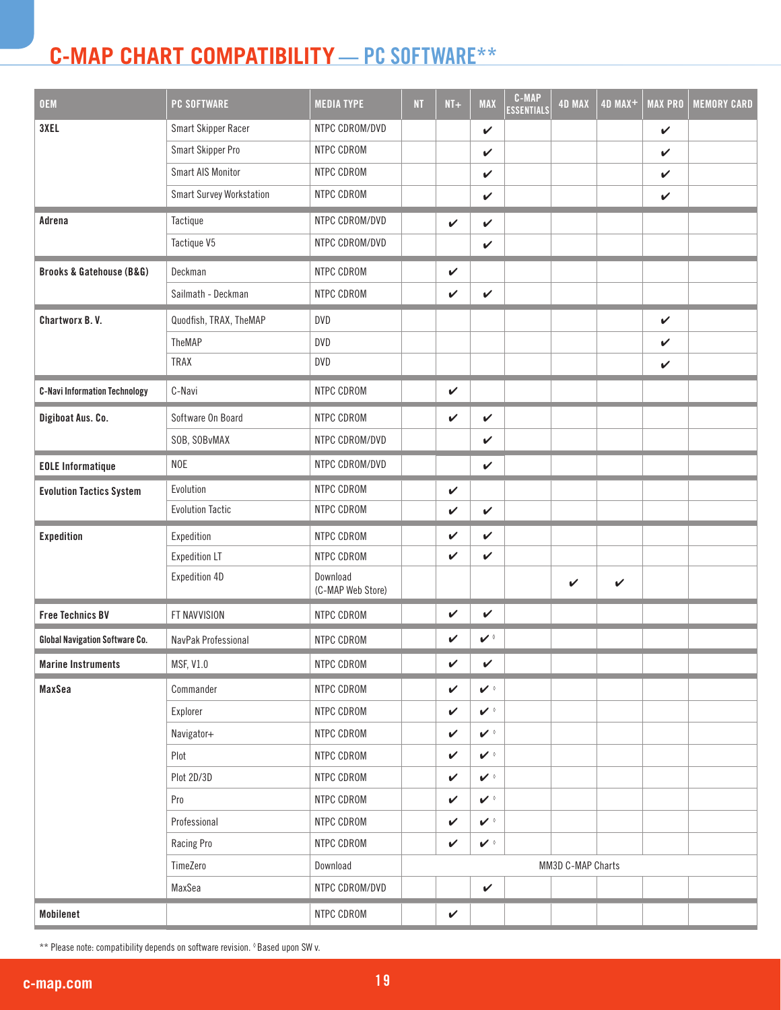## **C-MAP Chart Compatibility —** PC Software**\*\***

| <b>OEM</b>                              | <b>PC SOFTWARE</b>       | <b>MEDIA TYPE</b>             | NT | $NT+$        | <b>MAX</b>    | C-MAP<br><b>ESSENTIALS</b> | <b>4D MAX</b>     | 4D MAX+      | <b>MAX PRO</b> | <b>MEMORY CARD</b> |
|-----------------------------------------|--------------------------|-------------------------------|----|--------------|---------------|----------------------------|-------------------|--------------|----------------|--------------------|
| 3XEL                                    | Smart Skipper Racer      | NTPC CDROM/DVD                |    |              | $\checkmark$  |                            |                   |              | $\checkmark$   |                    |
|                                         | Smart Skipper Pro        | NTPC CDROM                    |    |              | $\checkmark$  |                            |                   |              | $\checkmark$   |                    |
|                                         | Smart AIS Monitor        | NTPC CDROM                    |    |              | $\checkmark$  |                            |                   |              | $\checkmark$   |                    |
|                                         | Smart Survey Workstation | NTPC CDROM                    |    |              | $\checkmark$  |                            |                   |              | $\checkmark$   |                    |
| Adrena                                  | Tactique                 | NTPC CDROM/DVD                |    | $\checkmark$ | $\checkmark$  |                            |                   |              |                |                    |
|                                         | Tactique V5              | NTPC CDROM/DVD                |    |              | $\checkmark$  |                            |                   |              |                |                    |
| <b>Brooks &amp; Gatehouse (B&amp;G)</b> | Deckman                  | NTPC CDROM                    |    | V            |               |                            |                   |              |                |                    |
|                                         | Sailmath - Deckman       | NTPC CDROM                    |    | V            | $\checkmark$  |                            |                   |              |                |                    |
| Chartworx B.V.                          | Quodfish, TRAX, TheMAP   | <b>DVD</b>                    |    |              |               |                            |                   |              | $\checkmark$   |                    |
|                                         | TheMAP                   | <b>DVD</b>                    |    |              |               |                            |                   |              | $\checkmark$   |                    |
|                                         | <b>TRAX</b>              | <b>DVD</b>                    |    |              |               |                            |                   |              | $\checkmark$   |                    |
| <b>C-Navi Information Technology</b>    | C-Navi                   | NTPC CDROM                    |    | $\checkmark$ |               |                            |                   |              |                |                    |
| Digiboat Aus. Co.                       | Software On Board        | NTPC CDROM                    |    | $\checkmark$ | $\checkmark$  |                            |                   |              |                |                    |
|                                         | SOB, SOBvMAX             | NTPC CDROM/DVD                |    |              | V             |                            |                   |              |                |                    |
| <b>EOLE Informatique</b>                | <b>NOE</b>               | NTPC CDROM/DVD                |    |              | $\checkmark$  |                            |                   |              |                |                    |
| <b>Evolution Tactics System</b>         | Evolution                | NTPC CDROM                    |    | $\checkmark$ |               |                            |                   |              |                |                    |
|                                         | <b>Evolution Tactic</b>  | NTPC CDROM                    |    | $\checkmark$ | $\checkmark$  |                            |                   |              |                |                    |
| <b>Expedition</b>                       | Expedition               | NTPC CDROM                    |    | V            | V             |                            |                   |              |                |                    |
|                                         | <b>Expedition LT</b>     | NTPC CDROM                    |    | V            | V             |                            |                   |              |                |                    |
|                                         | Expedition 4D            | Download<br>(C-MAP Web Store) |    |              |               |                            | V                 | $\checkmark$ |                |                    |
| <b>Free Technics BV</b>                 | FT NAVVISION             | NTPC CDROM                    |    | V            | $\checkmark$  |                            |                   |              |                |                    |
| <b>Global Navigation Software Co.</b>   | NavPak Professional      | NTPC CDROM                    |    | V            | $\mathbf{v}$  |                            |                   |              |                |                    |
| <b>Marine Instruments</b>               | MSF, V1.0                | NTPC CDROM                    |    | $\checkmark$ | V             |                            |                   |              |                |                    |
| MaxSea                                  | Commander                | NTPC CDROM                    |    | $\checkmark$ | $\mathcal{V}$ |                            |                   |              |                |                    |
|                                         | Explorer                 | NTPC CDROM                    |    | $\checkmark$ | $\mathbf{v}$  |                            |                   |              |                |                    |
|                                         | Navigator+               | NTPC CDROM                    |    | $\checkmark$ | $\mathbf{v}$  |                            |                   |              |                |                    |
|                                         | Plot                     | NTPC CDROM                    |    | $\checkmark$ | $\mathbf{v}$  |                            |                   |              |                |                    |
|                                         | Plot 2D/3D               | NTPC CDROM                    |    | V            | $\mathcal{V}$ |                            |                   |              |                |                    |
|                                         | Pro                      | NTPC CDROM                    |    | V            | $\mathbf{v}$  |                            |                   |              |                |                    |
|                                         | Professional             | NTPC CDROM                    |    | $\checkmark$ | $\mathcal{V}$ |                            |                   |              |                |                    |
|                                         | Racing Pro               | NTPC CDROM                    |    | $\checkmark$ | $\mathbf{v}$  |                            |                   |              |                |                    |
|                                         | TimeZero                 | Download                      |    |              |               |                            | MM3D C-MAP Charts |              |                |                    |
|                                         | MaxSea                   | NTPC CDROM/DVD                |    |              | $\checkmark$  |                            |                   |              |                |                    |
| Mobilenet                               |                          | NTPC CDROM                    |    | $\checkmark$ |               |                            |                   |              |                |                    |

\*\* Please note: compatibility depends on software revision. ◊ Based upon SW v.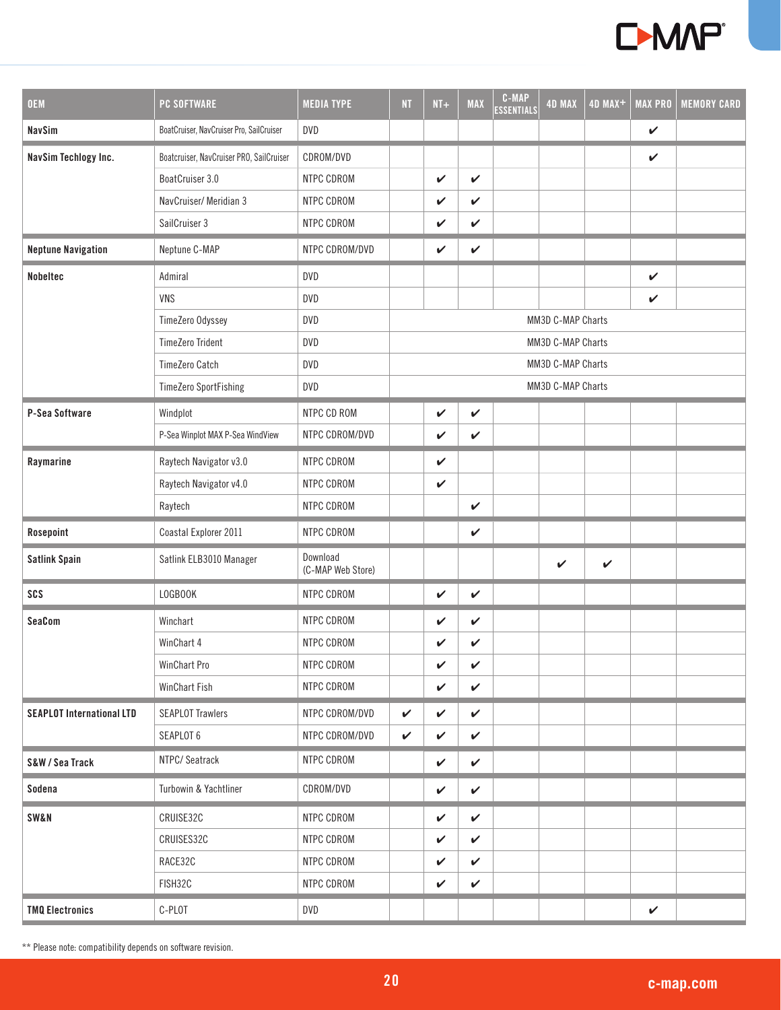

| <b>OEM</b>                       | <b>PC SOFTWARE</b>                       | <b>MEDIA TYPE</b>             | <b>NT</b>    | $NT+$        | <b>MAX</b>   | <b>C-MAP</b><br><b>ESSENTIALS</b> | <b>4D MAX</b>     | 4D MAX+      | <b>MAX PRO</b> | <b>MEMORY CARD</b> |
|----------------------------------|------------------------------------------|-------------------------------|--------------|--------------|--------------|-----------------------------------|-------------------|--------------|----------------|--------------------|
| <b>NavSim</b>                    | BoatCruiser, NavCruiser Pro, SailCruiser | <b>DVD</b>                    |              |              |              |                                   |                   |              | $\checkmark$   |                    |
| <b>NavSim Techlogy Inc.</b>      | Boatcruiser, NavCruiser PRO, SailCruiser | CDROM/DVD                     |              |              |              |                                   |                   |              | $\checkmark$   |                    |
|                                  | BoatCruiser 3.0                          | NTPC CDROM                    |              | $\checkmark$ | $\checkmark$ |                                   |                   |              |                |                    |
|                                  | NavCruiser/ Meridian 3                   | NTPC CDROM                    |              | V            | $\checkmark$ |                                   |                   |              |                |                    |
|                                  | SailCruiser 3                            | NTPC CDROM                    |              | $\checkmark$ | $\checkmark$ |                                   |                   |              |                |                    |
| <b>Neptune Navigation</b>        | Neptune C-MAP                            | NTPC CDROM/DVD                |              | $\checkmark$ | $\checkmark$ |                                   |                   |              |                |                    |
| <b>Nobeltec</b>                  | Admiral                                  | <b>DVD</b>                    |              |              |              |                                   |                   |              | $\checkmark$   |                    |
|                                  | VNS                                      | DVD                           |              |              |              |                                   |                   |              | V              |                    |
|                                  | TimeZero Odyssey                         | DVD                           |              |              |              |                                   | MM3D C-MAP Charts |              |                |                    |
|                                  | <b>TimeZero Trident</b>                  | <b>DVD</b>                    |              |              |              |                                   | MM3D C-MAP Charts |              |                |                    |
|                                  | <b>TimeZero Catch</b>                    | DVD                           |              |              |              |                                   | MM3D C-MAP Charts |              |                |                    |
|                                  | <b>TimeZero SportFishing</b>             | <b>DVD</b>                    |              |              |              |                                   | MM3D C-MAP Charts |              |                |                    |
| P-Sea Software                   | Windplot                                 | NTPC CD ROM                   |              | $\checkmark$ | $\checkmark$ |                                   |                   |              |                |                    |
|                                  | P-Sea Winplot MAX P-Sea WindView         | NTPC CDROM/DVD                |              | $\checkmark$ | V            |                                   |                   |              |                |                    |
| Raymarine                        | Raytech Navigator v3.0                   | NTPC CDROM                    |              | V            |              |                                   |                   |              |                |                    |
|                                  | Raytech Navigator v4.0                   | NTPC CDROM                    |              | $\checkmark$ |              |                                   |                   |              |                |                    |
|                                  | Raytech                                  | NTPC CDROM                    |              |              | $\checkmark$ |                                   |                   |              |                |                    |
| Rosepoint                        | Coastal Explorer 2011                    | NTPC CDROM                    |              |              | $\checkmark$ |                                   |                   |              |                |                    |
| <b>Satlink Spain</b>             | Satlink ELB3010 Manager                  | Download<br>(C-MAP Web Store) |              |              |              |                                   | V                 | $\checkmark$ |                |                    |
| SCS                              | LOGBOOK                                  | NTPC CDROM                    |              | $\checkmark$ | $\checkmark$ |                                   |                   |              |                |                    |
| SeaCom                           | Winchart                                 | NTPC CDROM                    |              | V            | $\checkmark$ |                                   |                   |              |                |                    |
|                                  | WinChart 4                               | NTPC CDROM                    |              | $\checkmark$ | V            |                                   |                   |              |                |                    |
|                                  | WinChart Pro                             | NTPC CDROM                    |              | ✓            | V            |                                   |                   |              |                |                    |
|                                  | WinChart Fish                            | NTPC CDROM                    |              | V            | $\checkmark$ |                                   |                   |              |                |                    |
| <b>SEAPLOT International LTD</b> | <b>SEAPLOT Trawlers</b>                  | NTPC CDROM/DVD                | $\checkmark$ | V            | $\checkmark$ |                                   |                   |              |                |                    |
|                                  | SEAPLOT 6                                | NTPC CDROM/DVD                | V            | V            | $\checkmark$ |                                   |                   |              |                |                    |
| S&W / Sea Track                  | NTPC/Seatrack                            | NTPC CDROM                    |              | $\checkmark$ | $\checkmark$ |                                   |                   |              |                |                    |
| Sodena                           | Turbowin & Yachtliner                    | CDROM/DVD                     |              | $\checkmark$ | $\checkmark$ |                                   |                   |              |                |                    |
| <b>SW&amp;N</b>                  | CRUISE32C                                | NTPC CDROM                    |              | V            | $\checkmark$ |                                   |                   |              |                |                    |
|                                  | CRUISES32C                               | NTPC CDROM                    |              | V            | V            |                                   |                   |              |                |                    |
|                                  | RACE32C                                  | NTPC CDROM                    |              | V            | V            |                                   |                   |              |                |                    |
|                                  | FISH32C                                  | NTPC CDROM                    |              | V            | $\checkmark$ |                                   |                   |              |                |                    |
| <b>TMQ Electronics</b>           | C-PLOT                                   | <b>DVD</b>                    |              |              |              |                                   |                   |              | $\checkmark$   |                    |

\*\* Please note: compatibility depends on software revision.